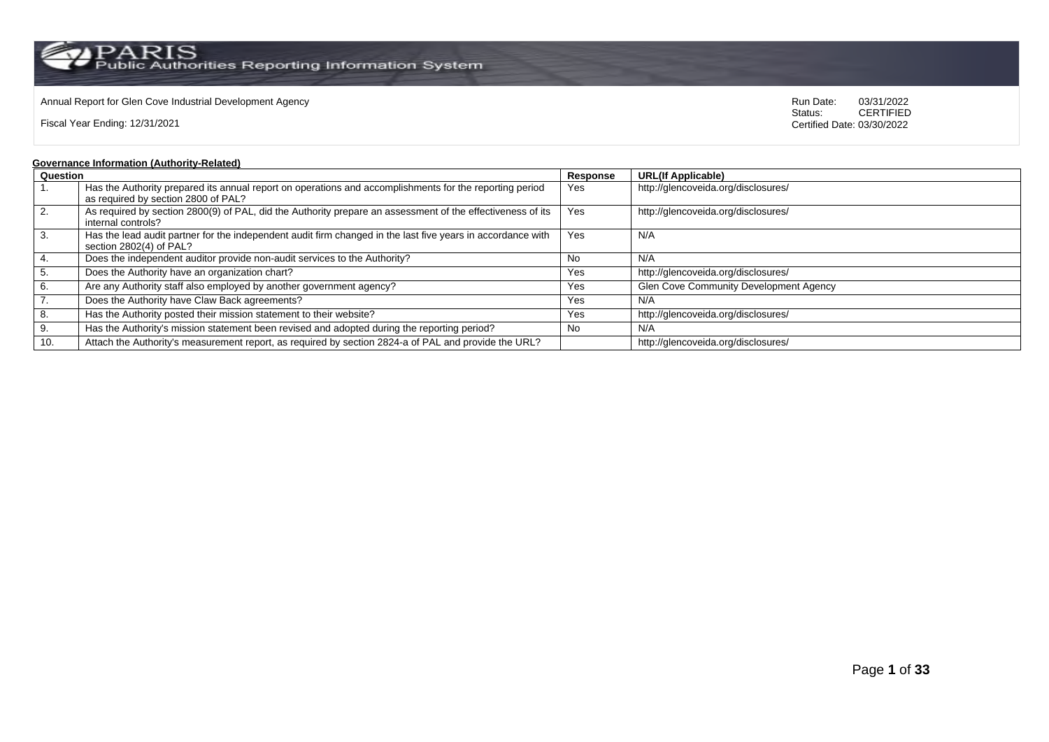### Annual Report for Glen Cove Industrial Development Agency<br>
Status: CERTIFIED<br>
CERTIFIED

Fiscal Year Ending: 12/31/2021

CERTIFIED Certified Date: 03/30/2022

### **Governance Information (Authority-Related)**

| Question         |                                                                                                             | Response | <b>URL(If Applicable)</b>              |
|------------------|-------------------------------------------------------------------------------------------------------------|----------|----------------------------------------|
|                  | Has the Authority prepared its annual report on operations and accomplishments for the reporting period     | Yes      | http://glencoveida.org/disclosures/    |
|                  | as required by section 2800 of PAL?                                                                         |          |                                        |
| $\vert 2. \vert$ | As required by section 2800(9) of PAL, did the Authority prepare an assessment of the effectiveness of its  | Yes      | http://glencoveida.org/disclosures/    |
|                  | internal controls?                                                                                          |          |                                        |
| l 3.             | Has the lead audit partner for the independent audit firm changed in the last five years in accordance with | Yes      | N/A                                    |
|                  | section 2802(4) of PAL?                                                                                     |          |                                        |
| 4.               | Does the independent auditor provide non-audit services to the Authority?                                   | No       | N/A                                    |
| 5.               | Does the Authority have an organization chart?                                                              | Yes      | http://glencoveida.org/disclosures/    |
| 6.               | Are any Authority staff also employed by another government agency?                                         | Yes      | Glen Cove Community Development Agency |
| $\overline{7}$ . | Does the Authority have Claw Back agreements?                                                               | Yes      | N/A                                    |
| 8.               | Has the Authority posted their mission statement to their website?                                          | Yes      | http://glencoveida.org/disclosures/    |
| 9.               | Has the Authority's mission statement been revised and adopted during the reporting period?                 | No.      | N/A                                    |
| 10.              | Attach the Authority's measurement report, as required by section 2824-a of PAL and provide the URL?        |          | http://glencoveida.org/disclosures/    |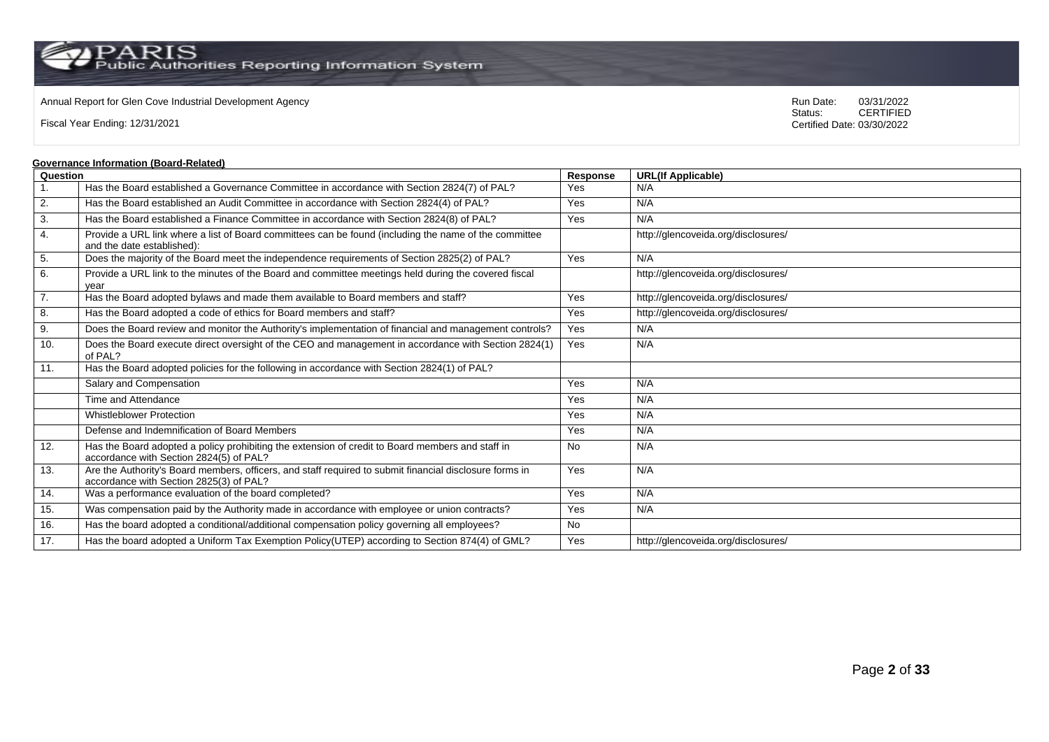### Annual Report for Glen Cove Industrial Development Agency<br>
Status: CERTIFIED<br>
CERTIFIED

Fiscal Year Ending: 12/31/2021

CERTIFIED Certified Date: 03/30/2022

### **Governance Information (Board-Related)**

|                  | <u>Sovernance imormation (Board-Related)</u>                                                                                                       |           |                                     |
|------------------|----------------------------------------------------------------------------------------------------------------------------------------------------|-----------|-------------------------------------|
| Question         |                                                                                                                                                    | Response  | <b>URL(If Applicable)</b>           |
| $\mathbf{1}$ .   | Has the Board established a Governance Committee in accordance with Section 2824(7) of PAL?                                                        | Yes       | N/A                                 |
| 2.               | Has the Board established an Audit Committee in accordance with Section 2824(4) of PAL?                                                            | Yes       | N/A                                 |
| 3.               | Has the Board established a Finance Committee in accordance with Section 2824(8) of PAL?                                                           | Yes       | N/A                                 |
| 4.               | Provide a URL link where a list of Board committees can be found (including the name of the committee<br>and the date established):                |           | http://glencoveida.org/disclosures/ |
| 5.               | Does the majority of the Board meet the independence requirements of Section 2825(2) of PAL?                                                       | Yes       | N/A                                 |
| 6.               | Provide a URL link to the minutes of the Board and committee meetings held during the covered fiscal<br>vear                                       |           | http://glencoveida.org/disclosures/ |
| $\overline{7}$ . | Has the Board adopted bylaws and made them available to Board members and staff?                                                                   | Yes       | http://glencoveida.org/disclosures/ |
| 8.               | Has the Board adopted a code of ethics for Board members and staff?                                                                                | Yes       | http://glencoveida.org/disclosures/ |
| 9.               | Does the Board review and monitor the Authority's implementation of financial and management controls?                                             | Yes       | N/A                                 |
| 10.              | Does the Board execute direct oversight of the CEO and management in accordance with Section 2824(1)<br>of PAL?                                    | Yes       | N/A                                 |
| 11.              | Has the Board adopted policies for the following in accordance with Section 2824(1) of PAL?                                                        |           |                                     |
|                  | Salary and Compensation                                                                                                                            | Yes       | N/A                                 |
|                  | Time and Attendance                                                                                                                                | Yes       | N/A                                 |
|                  | <b>Whistleblower Protection</b>                                                                                                                    | Yes       | N/A                                 |
|                  | Defense and Indemnification of Board Members                                                                                                       | Yes       | N/A                                 |
| 12.              | Has the Board adopted a policy prohibiting the extension of credit to Board members and staff in<br>accordance with Section 2824(5) of PAL?        | <b>No</b> | N/A                                 |
| 13.              | Are the Authority's Board members, officers, and staff required to submit financial disclosure forms in<br>accordance with Section 2825(3) of PAL? | Yes       | N/A                                 |
| 14.              | Was a performance evaluation of the board completed?                                                                                               | Yes       | N/A                                 |
| 15.              | Was compensation paid by the Authority made in accordance with employee or union contracts?                                                        | Yes       | N/A                                 |
| 16.              | Has the board adopted a conditional/additional compensation policy governing all employees?                                                        | <b>No</b> |                                     |
| 17.              | Has the board adopted a Uniform Tax Exemption Policy(UTEP) according to Section 874(4) of GML?                                                     | Yes       | http://glencoveida.org/disclosures/ |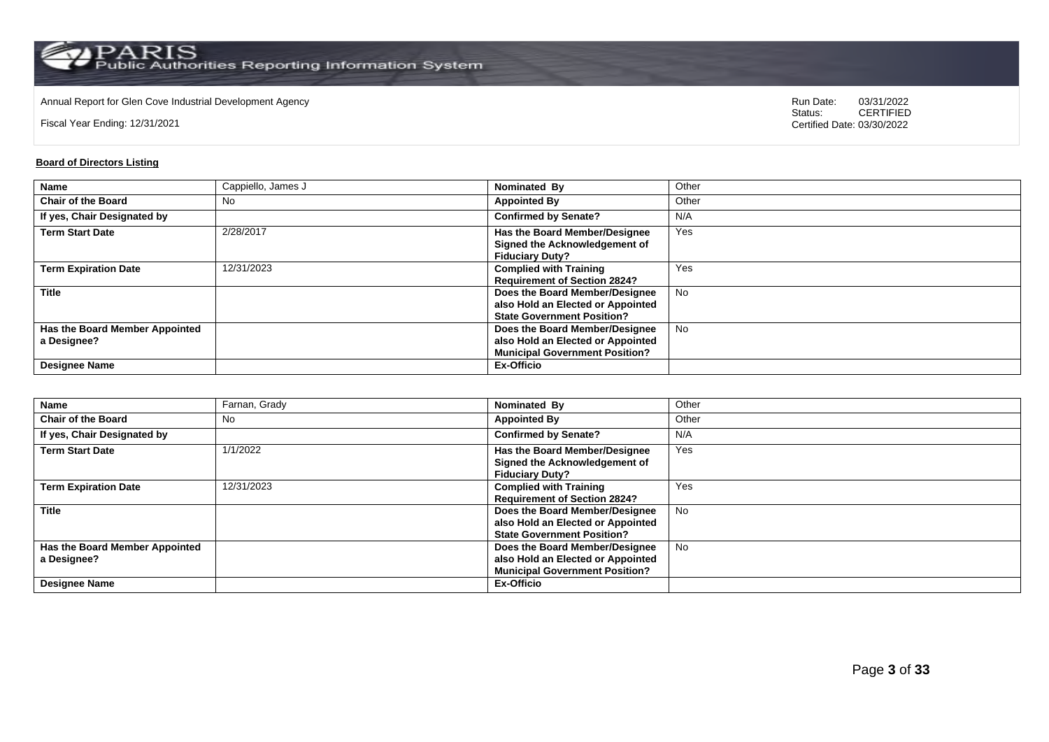Annual Report for Glen Cove Industrial Development Agency<br>
Status: CERTIFIED<br>
CERTIFIED

Fiscal Year Ending: 12/31/2021

CERTIFIED Certified Date: 03/30/2022

### **Board of Directors Listing**

| Name                           | Cappiello, James J | <b>Nominated By</b>                   | Other     |
|--------------------------------|--------------------|---------------------------------------|-----------|
| <b>Chair of the Board</b>      | No                 | <b>Appointed By</b>                   | Other     |
| If yes, Chair Designated by    |                    | <b>Confirmed by Senate?</b>           | N/A       |
| <b>Term Start Date</b>         | 2/28/2017          | <b>Has the Board Member/Designee</b>  | Yes       |
|                                |                    | Signed the Acknowledgement of         |           |
|                                |                    | <b>Fiduciary Duty?</b>                |           |
| <b>Term Expiration Date</b>    | 12/31/2023         | <b>Complied with Training</b>         | Yes       |
|                                |                    | <b>Requirement of Section 2824?</b>   |           |
| <b>Title</b>                   |                    | Does the Board Member/Designee        | <b>No</b> |
|                                |                    | also Hold an Elected or Appointed     |           |
|                                |                    | <b>State Government Position?</b>     |           |
| Has the Board Member Appointed |                    | Does the Board Member/Designee        | <b>No</b> |
| a Designee?                    |                    | also Hold an Elected or Appointed     |           |
|                                |                    | <b>Municipal Government Position?</b> |           |
| <b>Designee Name</b>           |                    | <b>Ex-Officio</b>                     |           |

| <b>Name</b>                                                           | Farnan, Grady | Nominated By                                                                                                               | Other     |
|-----------------------------------------------------------------------|---------------|----------------------------------------------------------------------------------------------------------------------------|-----------|
| <b>Chair of the Board</b>                                             | No            | <b>Appointed By</b>                                                                                                        | Other     |
| If yes, Chair Designated by                                           |               | <b>Confirmed by Senate?</b>                                                                                                | N/A       |
| <b>Term Start Date</b>                                                | 1/1/2022      | <b>Has the Board Member/Designee</b><br>Signed the Acknowledgement of<br><b>Fiduciary Duty?</b>                            | Yes       |
| <b>Term Expiration Date</b>                                           | 12/31/2023    | <b>Complied with Training</b><br><b>Requirement of Section 2824?</b>                                                       | Yes       |
| <b>Title</b>                                                          |               | Does the Board Member/Designee<br>also Hold an Elected or Appointed<br><b>State Government Position?</b>                   | <b>No</b> |
| Has the Board Member Appointed<br>a Designee?<br><b>Designee Name</b> |               | Does the Board Member/Designee<br>also Hold an Elected or Appointed<br><b>Municipal Government Position?</b><br>Ex-Officio | <b>No</b> |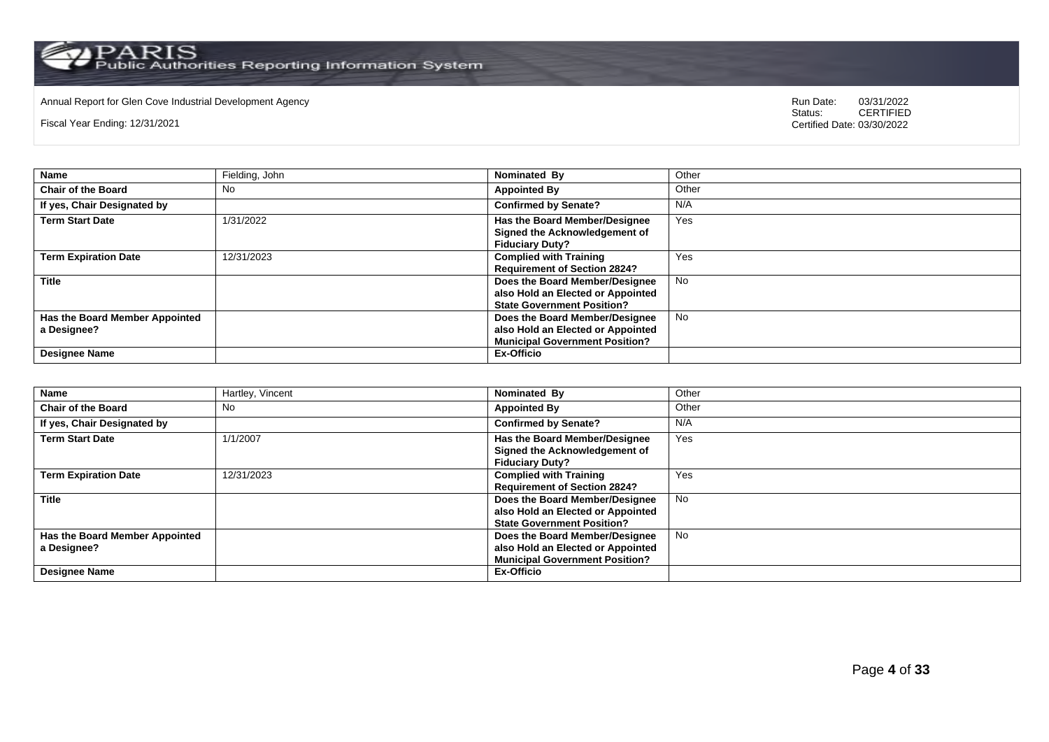# Annual Report for Glen Cove Industrial Development Agency<br>
Status: CERTIFIED

Fiscal Year Ending: 12/31/2021

| Name                                          | Fielding, John | Nominated By                                                                                                 | Other     |
|-----------------------------------------------|----------------|--------------------------------------------------------------------------------------------------------------|-----------|
| <b>Chair of the Board</b>                     | No             | <b>Appointed By</b>                                                                                          | Other     |
| If yes, Chair Designated by                   |                | <b>Confirmed by Senate?</b>                                                                                  | N/A       |
| <b>Term Start Date</b>                        | 1/31/2022      | <b>Has the Board Member/Designee</b><br>Signed the Acknowledgement of<br><b>Fiduciary Duty?</b>              | Yes       |
| <b>Term Expiration Date</b>                   | 12/31/2023     | <b>Complied with Training</b><br><b>Requirement of Section 2824?</b>                                         | Yes       |
| <b>Title</b>                                  |                | Does the Board Member/Designee<br>also Hold an Elected or Appointed<br><b>State Government Position?</b>     | <b>No</b> |
| Has the Board Member Appointed<br>a Designee? |                | Does the Board Member/Designee<br>also Hold an Elected or Appointed<br><b>Municipal Government Position?</b> | <b>No</b> |
| Designee Name                                 |                | <b>Ex-Officio</b>                                                                                            |           |

| <b>Name</b>                                                           | Hartley, Vincent | Nominated By                                                                                                               | Other     |
|-----------------------------------------------------------------------|------------------|----------------------------------------------------------------------------------------------------------------------------|-----------|
| <b>Chair of the Board</b>                                             | No               | <b>Appointed By</b>                                                                                                        | Other     |
| If yes, Chair Designated by                                           |                  | <b>Confirmed by Senate?</b>                                                                                                | N/A       |
| <b>Term Start Date</b>                                                | 1/1/2007         | Has the Board Member/Designee<br>Signed the Acknowledgement of<br><b>Fiduciary Duty?</b>                                   | Yes       |
| <b>Term Expiration Date</b>                                           | 12/31/2023       | <b>Complied with Training</b><br><b>Requirement of Section 2824?</b>                                                       | Yes       |
| <b>Title</b>                                                          |                  | Does the Board Member/Designee<br>also Hold an Elected or Appointed<br><b>State Government Position?</b>                   | <b>No</b> |
| Has the Board Member Appointed<br>a Designee?<br><b>Designee Name</b> |                  | Does the Board Member/Designee<br>also Hold an Elected or Appointed<br><b>Municipal Government Position?</b><br>Ex-Officio | <b>No</b> |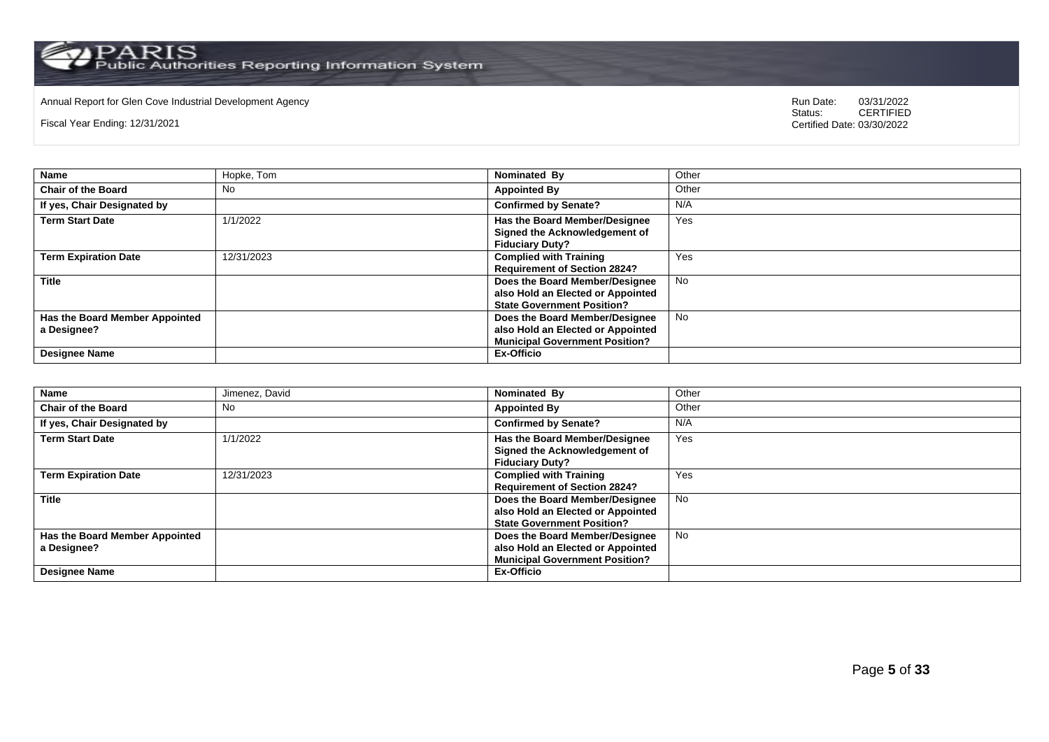# Annual Report for Glen Cove Industrial Development Agency<br>
Status: CERTIFIED

Fiscal Year Ending: 12/31/2021

| <b>Name</b>                                                           | Hopke, Tom | Nominated By                                                                                                               | Other     |
|-----------------------------------------------------------------------|------------|----------------------------------------------------------------------------------------------------------------------------|-----------|
| <b>Chair of the Board</b>                                             | No         | <b>Appointed By</b>                                                                                                        | Other     |
| If yes, Chair Designated by                                           |            | <b>Confirmed by Senate?</b>                                                                                                | N/A       |
| <b>Term Start Date</b>                                                | 1/1/2022   | <b>Has the Board Member/Designee</b><br>Signed the Acknowledgement of<br><b>Fiduciary Duty?</b>                            | Yes       |
| <b>Term Expiration Date</b>                                           | 12/31/2023 | <b>Complied with Training</b><br><b>Requirement of Section 2824?</b>                                                       | Yes       |
| <b>Title</b>                                                          |            | Does the Board Member/Designee<br>also Hold an Elected or Appointed<br><b>State Government Position?</b>                   | <b>No</b> |
| Has the Board Member Appointed<br>a Designee?<br><b>Designee Name</b> |            | Does the Board Member/Designee<br>also Hold an Elected or Appointed<br><b>Municipal Government Position?</b><br>Ex-Officio | <b>No</b> |

| <b>Name</b>                    | Jimenez, David | Nominated By                          | Other     |
|--------------------------------|----------------|---------------------------------------|-----------|
| <b>Chair of the Board</b>      | No             | <b>Appointed By</b>                   | Other     |
| If yes, Chair Designated by    |                | <b>Confirmed by Senate?</b>           | N/A       |
| <b>Term Start Date</b>         | 1/1/2022       | Has the Board Member/Designee         | Yes       |
|                                |                | Signed the Acknowledgement of         |           |
|                                |                | <b>Fiduciary Duty?</b>                |           |
| <b>Term Expiration Date</b>    | 12/31/2023     | <b>Complied with Training</b>         | Yes       |
|                                |                | <b>Requirement of Section 2824?</b>   |           |
| <b>Title</b>                   |                | Does the Board Member/Designee        | <b>No</b> |
|                                |                | also Hold an Elected or Appointed     |           |
|                                |                | <b>State Government Position?</b>     |           |
| Has the Board Member Appointed |                | Does the Board Member/Designee        | <b>No</b> |
| a Designee?                    |                | also Hold an Elected or Appointed     |           |
|                                |                | <b>Municipal Government Position?</b> |           |
| <b>Designee Name</b>           |                | Ex-Officio                            |           |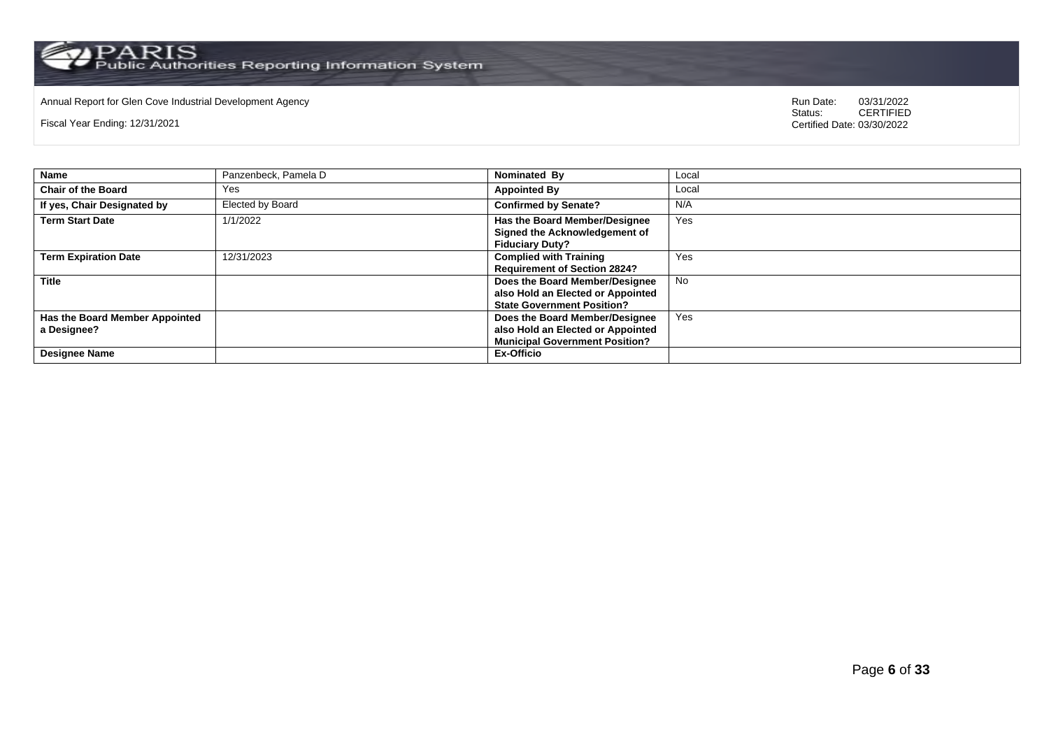# Annual Report for Glen Cove Industrial Development Agency<br>
Status: CERTIFIED

Fiscal Year Ending: 12/31/2021

| <b>Name</b>                                   | Panzenbeck, Pamela D | Nominated By                                                                                                 | Local |
|-----------------------------------------------|----------------------|--------------------------------------------------------------------------------------------------------------|-------|
| <b>Chair of the Board</b>                     | Yes                  | <b>Appointed By</b>                                                                                          | Local |
| If yes, Chair Designated by                   | Elected by Board     | <b>Confirmed by Senate?</b>                                                                                  | N/A   |
| <b>Term Start Date</b>                        | 1/1/2022             | Has the Board Member/Designee<br>Signed the Acknowledgement of<br><b>Fiduciary Duty?</b>                     | Yes   |
| <b>Term Expiration Date</b>                   | 12/31/2023           | <b>Complied with Training</b><br><b>Requirement of Section 2824?</b>                                         | Yes   |
| <b>Title</b>                                  |                      | Does the Board Member/Designee<br>also Hold an Elected or Appointed<br><b>State Government Position?</b>     | No.   |
| Has the Board Member Appointed<br>a Designee? |                      | Does the Board Member/Designee<br>also Hold an Elected or Appointed<br><b>Municipal Government Position?</b> | Yes   |
| <b>Designee Name</b>                          |                      | <b>Ex-Officio</b>                                                                                            |       |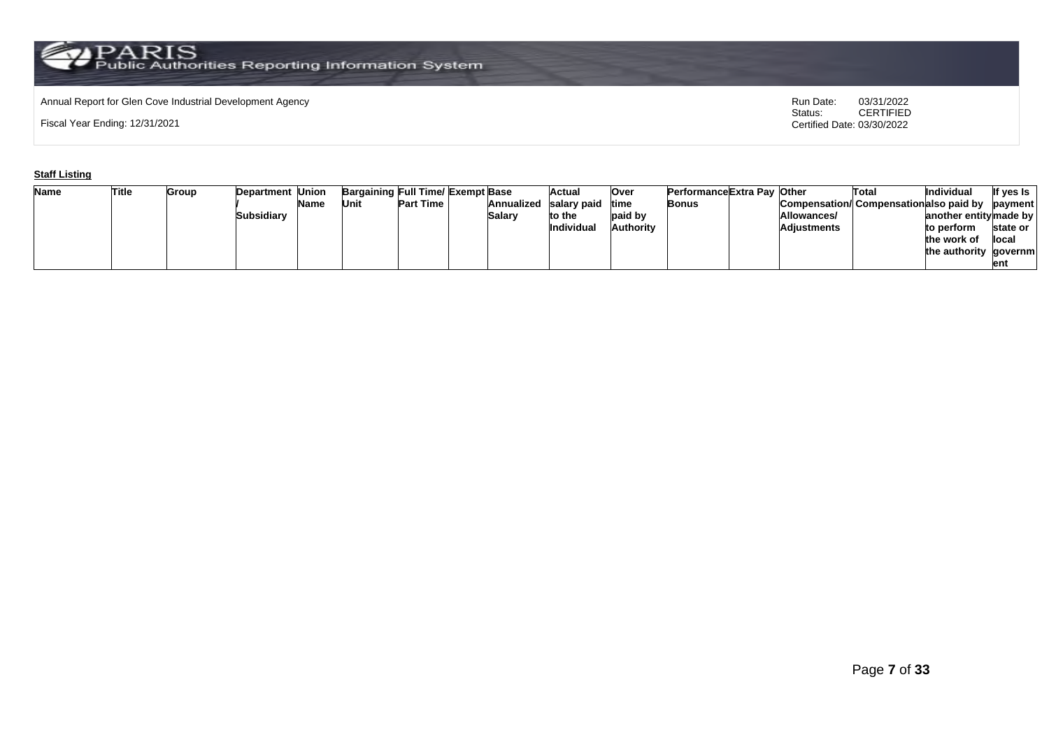# Annual Report for Glen Cove Industrial Development Agency<br>
Status: CERTIFIED

Fiscal Year Ending: 12/31/2021

CERTIFIED Certified Date: 03/30/2022

### **Staff Listing**

| <b>Name</b> | Title | Group | <b>Department Union</b> |      | Bargaining Full Time/ Exempt Base |                  |            | Actual            | Over      | <b>PerformanceExtra Pav Other</b> |             | Total                                         | <b>Individua</b>       | If yes is |
|-------------|-------|-------|-------------------------|------|-----------------------------------|------------------|------------|-------------------|-----------|-----------------------------------|-------------|-----------------------------------------------|------------------------|-----------|
|             |       |       |                         | Name | Unit                              | <b>Part Time</b> | Annualized | salary paid       | time      | Bonus                             |             | Compensation/Compensationalso paid by payment |                        |           |
|             |       |       | Subsidiarv              |      |                                   |                  | Salarv     | to the            | paid by   |                                   | Allowances/ |                                               | another entity made by |           |
|             |       |       |                         |      |                                   |                  |            | <b>Individual</b> | Authoritv |                                   | Adjustments |                                               | to perform             | state or  |
|             |       |       |                         |      |                                   |                  |            |                   |           |                                   |             |                                               | the work of            | llocal    |
|             |       |       |                         |      |                                   |                  |            |                   |           |                                   |             |                                               | the authority governm  |           |
|             |       |       |                         |      |                                   |                  |            |                   |           |                                   |             |                                               |                        | ent       |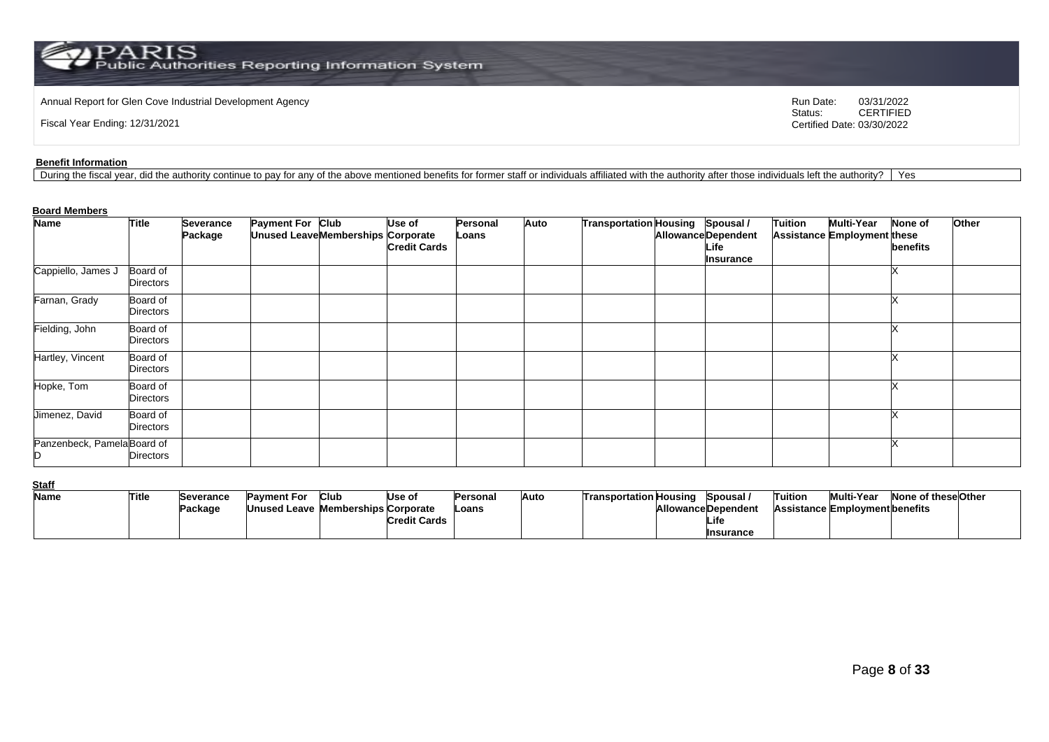PARIS<br>Public Authorities Reporting Information System

Annual Report for Glen Cove Industrial Development Agency<br>
Status: CERTIFIED<br>
CERTIFIED

Fiscal Year Ending: 12/31/2021

CERTIFIED Certified Date: 03/30/2022

### **Benefit Information**

During the fiscal year, did the authority continue to pay for any of the above mentioned benefits for former staff or individuals affiliated with the authority after those individuals left the authority? | Yes

#### **Board Members**

| <b>Name</b>                 | <b>Title</b>          | Severance | Payment For Club                          | Use of              | Personal | Auto | Transportation Housing Spousal / |                                                 | <b>Tuition</b> | <b>Multi-Year</b>           | <b>None of</b> | Other |
|-----------------------------|-----------------------|-----------|-------------------------------------------|---------------------|----------|------|----------------------------------|-------------------------------------------------|----------------|-----------------------------|----------------|-------|
|                             |                       | Package   | <b>Unused Leave Memberships Corporate</b> | <b>Credit Cards</b> | Loans    |      |                                  | <b>Allowance Dependent</b><br>Life<br>Insurance |                | Assistance Employment these | benefits       |       |
| Cappiello, James J          | Board of<br>Directors |           |                                           |                     |          |      |                                  |                                                 |                |                             |                |       |
| Farnan, Grady               | Board of<br>Directors |           |                                           |                     |          |      |                                  |                                                 |                |                             |                |       |
| Fielding, John              | Board of<br>Directors |           |                                           |                     |          |      |                                  |                                                 |                |                             |                |       |
| Hartley, Vincent            | Board of<br>Directors |           |                                           |                     |          |      |                                  |                                                 |                |                             |                |       |
| Hopke, Tom                  | Board of<br>Directors |           |                                           |                     |          |      |                                  |                                                 |                |                             |                |       |
| Jimenez, David              | Board of<br>Directors |           |                                           |                     |          |      |                                  |                                                 |                |                             |                |       |
| Panzenbeck, Pamela Board of | Directors             |           |                                           |                     |          |      |                                  |                                                 |                |                             |                |       |

**Staff**

| ษเฉบ |       |                   |                                    |      |                     |          |      |                        |                           |         |                                       |                     |  |
|------|-------|-------------------|------------------------------------|------|---------------------|----------|------|------------------------|---------------------------|---------|---------------------------------------|---------------------|--|
| Name | Title | <b>ISeverance</b> | <b>Payment For</b>                 | Club | Use of              | Personal | Auto | Transportation Housing | . Spousal                 | Tuition | <b>Multi-Year</b>                     | None of these Other |  |
|      |       | Package           | Unused Leave Memberships Corporate |      |                     | ∟oans    |      |                        | <b>AllowanceDependent</b> |         | <b>Assistance Employment benefits</b> |                     |  |
|      |       |                   |                                    |      | <b>Credit Cards</b> |          |      |                        | Life                      |         |                                       |                     |  |
|      |       |                   |                                    |      |                     |          |      |                        | <b>Insurance</b>          |         |                                       |                     |  |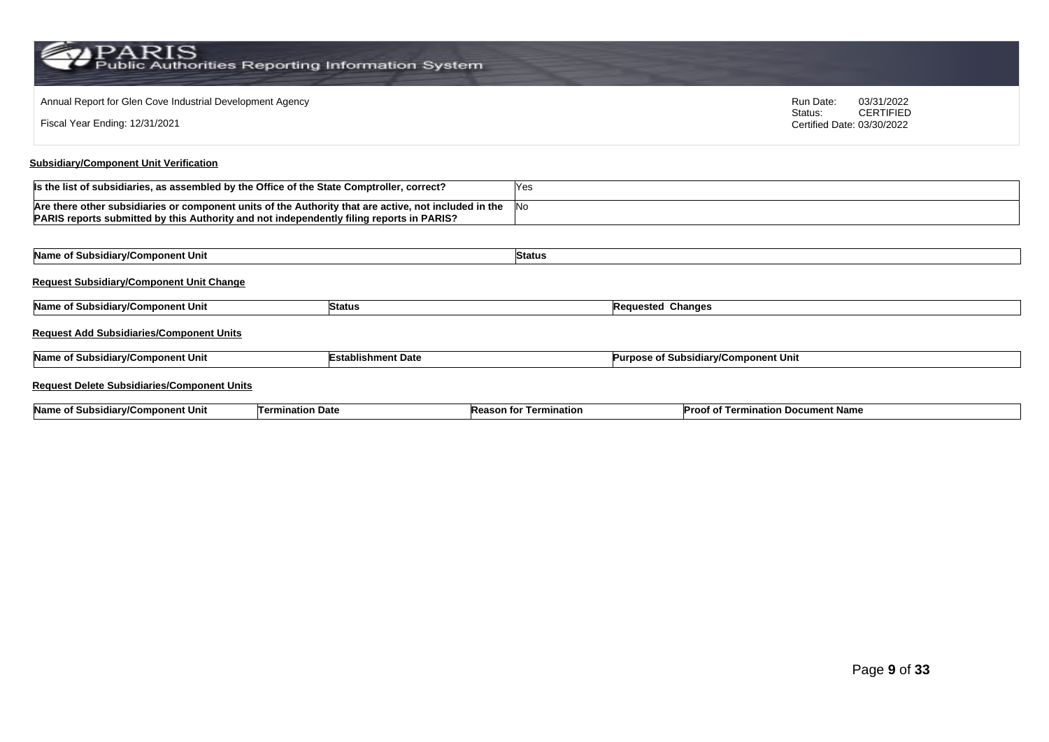PARIS<br>Public Authorities Reporting Information System

| Annual Report for Glen Cove Industrial Development Agency<br>Fiscal Year Ending: 12/31/2021                                                                                                       |                           |               |                                      | Run Date:<br>Status:<br>Certified Date: 03/30/2022 | 03/31/2022<br><b>CERTIFIED</b> |
|---------------------------------------------------------------------------------------------------------------------------------------------------------------------------------------------------|---------------------------|---------------|--------------------------------------|----------------------------------------------------|--------------------------------|
| <b>Subsidiary/Component Unit Verification</b>                                                                                                                                                     |                           |               |                                      |                                                    |                                |
| Is the list of subsidiaries, as assembled by the Office of the State Comptroller, correct?                                                                                                        |                           | Yes           |                                      |                                                    |                                |
| Are there other subsidiaries or component units of the Authority that are active, not included in the<br>PARIS reports submitted by this Authority and not independently filing reports in PARIS? |                           | No            |                                      |                                                    |                                |
|                                                                                                                                                                                                   |                           |               |                                      |                                                    |                                |
| Name of Subsidiary/Component Unit                                                                                                                                                                 |                           | <b>Status</b> |                                      |                                                    |                                |
| <b>Request Subsidiary/Component Unit Change</b>                                                                                                                                                   |                           |               |                                      |                                                    |                                |
| Name of Subsidiary/Component Unit                                                                                                                                                                 | <b>Status</b>             |               | <b>Requested Changes</b>             |                                                    |                                |
| <b>Request Add Subsidiaries/Component Units</b>                                                                                                                                                   |                           |               |                                      |                                                    |                                |
| Name of Subsidiary/Component Unit                                                                                                                                                                 | <b>Establishment Date</b> |               | Purpose of Subsidiary/Component Unit |                                                    |                                |
| <b>Request Delete Subsidiaries/Component Units</b>                                                                                                                                                |                           |               |                                      |                                                    |                                |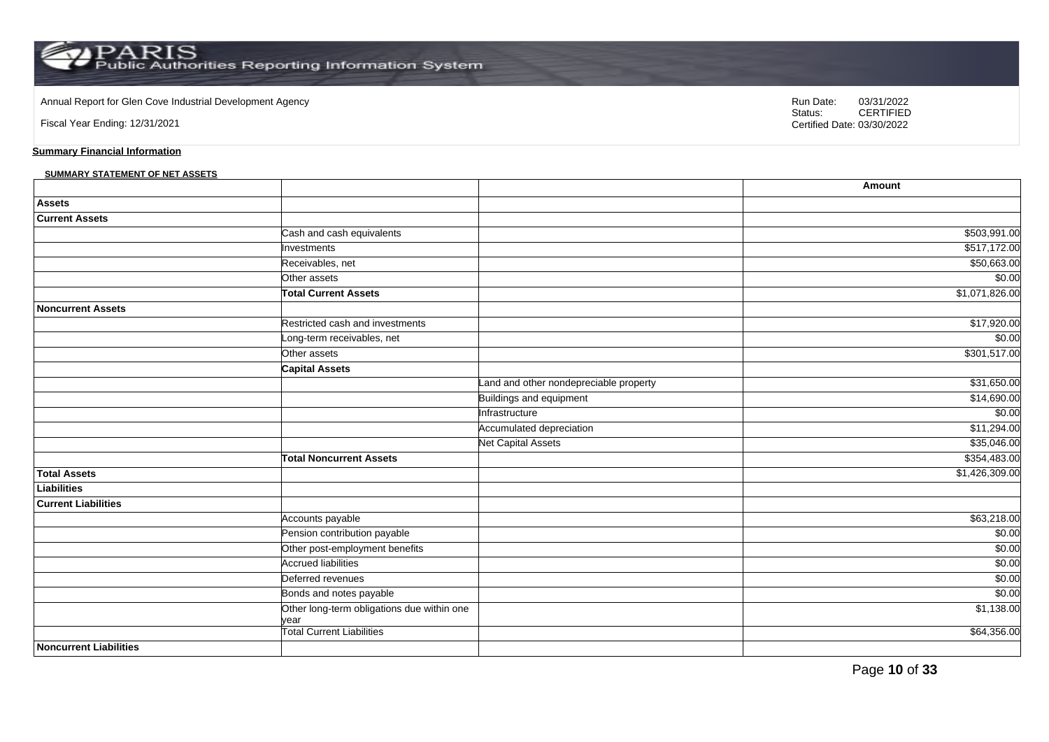### Annual Report for Glen Cove Industrial Development Agency<br>
Status: CERTIFIED

Fiscal Year Ending: 12/31/2021

**Summary Financial Information**

### **SUMMARY STATEMENT OF NET ASSETS**

|                               |                                                    |                                        | Amount         |
|-------------------------------|----------------------------------------------------|----------------------------------------|----------------|
| <b>Assets</b>                 |                                                    |                                        |                |
| <b>Current Assets</b>         |                                                    |                                        |                |
|                               | Cash and cash equivalents                          |                                        | \$503,991.00   |
|                               | Investments                                        |                                        | \$517,172.00   |
|                               | Receivables, net                                   |                                        | \$50,663.00    |
|                               | Other assets                                       |                                        | \$0.00         |
|                               | <b>Total Current Assets</b>                        |                                        | \$1,071,826.00 |
| Noncurrent Assets             |                                                    |                                        |                |
|                               | Restricted cash and investments                    |                                        | \$17,920.00    |
|                               | Long-term receivables, net                         |                                        | \$0.00         |
|                               | Other assets                                       |                                        | \$301,517.00   |
|                               | <b>Capital Assets</b>                              |                                        |                |
|                               |                                                    | Land and other nondepreciable property | \$31,650.00    |
|                               |                                                    | Buildings and equipment                | \$14,690.00    |
|                               |                                                    | Infrastructure                         | \$0.00         |
|                               |                                                    | Accumulated depreciation               | \$11,294.00    |
|                               |                                                    | <b>Net Capital Assets</b>              | \$35,046.00    |
|                               | <b>Total Noncurrent Assets</b>                     |                                        | \$354,483.00   |
| <b>Total Assets</b>           |                                                    |                                        | \$1,426,309.00 |
| Liabilities                   |                                                    |                                        |                |
| <b>Current Liabilities</b>    |                                                    |                                        |                |
|                               | Accounts payable                                   |                                        | \$63,218.00    |
|                               | Pension contribution payable                       |                                        | \$0.00         |
|                               | Other post-employment benefits                     |                                        | \$0.00         |
|                               | <b>Accrued liabilities</b>                         |                                        | \$0.00         |
|                               | Deferred revenues                                  |                                        | \$0.00         |
|                               | Bonds and notes payable                            |                                        | \$0.00         |
|                               | Other long-term obligations due within one<br>vear |                                        | \$1,138.00     |
|                               | <b>Total Current Liabilities</b>                   |                                        | \$64,356.00    |
| <b>Noncurrent Liabilities</b> |                                                    |                                        |                |

Page **10** of **33**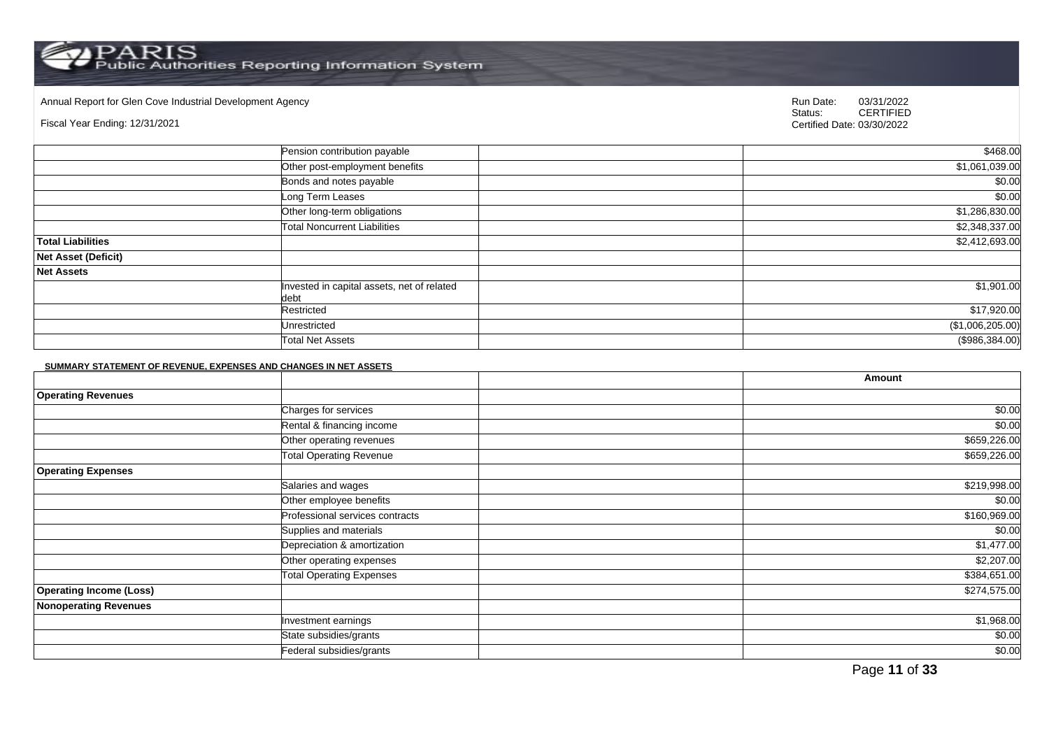PARIS<br>Public Authorities Reporting Information System

Annual Report for Glen Cove Industrial Development Agency<br>
Status: CERTIFIED

### Fiscal Year Ending: 12/31/2021

CERTIFIED Certified Date: 03/30/2022

|                            | Pension contribution payable                       | \$468.00         |
|----------------------------|----------------------------------------------------|------------------|
|                            | Other post-employment benefits                     | \$1,061,039.00   |
|                            | Bonds and notes payable                            | \$0.00           |
|                            | Long Term Leases                                   | \$0.00           |
|                            | Other long-term obligations                        | \$1,286,830.00   |
|                            | <b>Total Noncurrent Liabilities</b>                | \$2,348,337.00   |
| <b>Total Liabilities</b>   |                                                    | \$2,412,693.00   |
| <b>Net Asset (Deficit)</b> |                                                    |                  |
| <b>Net Assets</b>          |                                                    |                  |
|                            | Invested in capital assets, net of related<br>debt | \$1,901.00       |
|                            | Restricted                                         | \$17,920.00      |
|                            | Unrestricted                                       | (\$1,006,205.00) |
|                            | <b>Total Net Assets</b>                            | (\$986,384.00)   |

#### **SUMMARY STATEMENT OF REVENUE, EXPENSES AND CHANGES IN NET ASSETS**

|                                |                                 | Amount       |
|--------------------------------|---------------------------------|--------------|
| <b>Operating Revenues</b>      |                                 |              |
|                                | Charges for services            | \$0.00       |
|                                | Rental & financing income       | \$0.00       |
|                                | Other operating revenues        | \$659,226.00 |
|                                | <b>Total Operating Revenue</b>  | \$659,226.00 |
| <b>Operating Expenses</b>      |                                 |              |
|                                | Salaries and wages              | \$219,998.00 |
|                                | Other employee benefits         | \$0.00       |
|                                | Professional services contracts | \$160,969.00 |
|                                | Supplies and materials          | \$0.00       |
|                                | Depreciation & amortization     | \$1,477.00   |
|                                | Other operating expenses        | \$2,207.00   |
|                                | <b>Total Operating Expenses</b> | \$384,651.00 |
| <b>Operating Income (Loss)</b> |                                 | \$274,575.00 |
| <b>Nonoperating Revenues</b>   |                                 |              |
|                                | Investment earnings             | \$1,968.00   |
|                                | State subsidies/grants          | \$0.00       |
|                                | Federal subsidies/grants        | \$0.00       |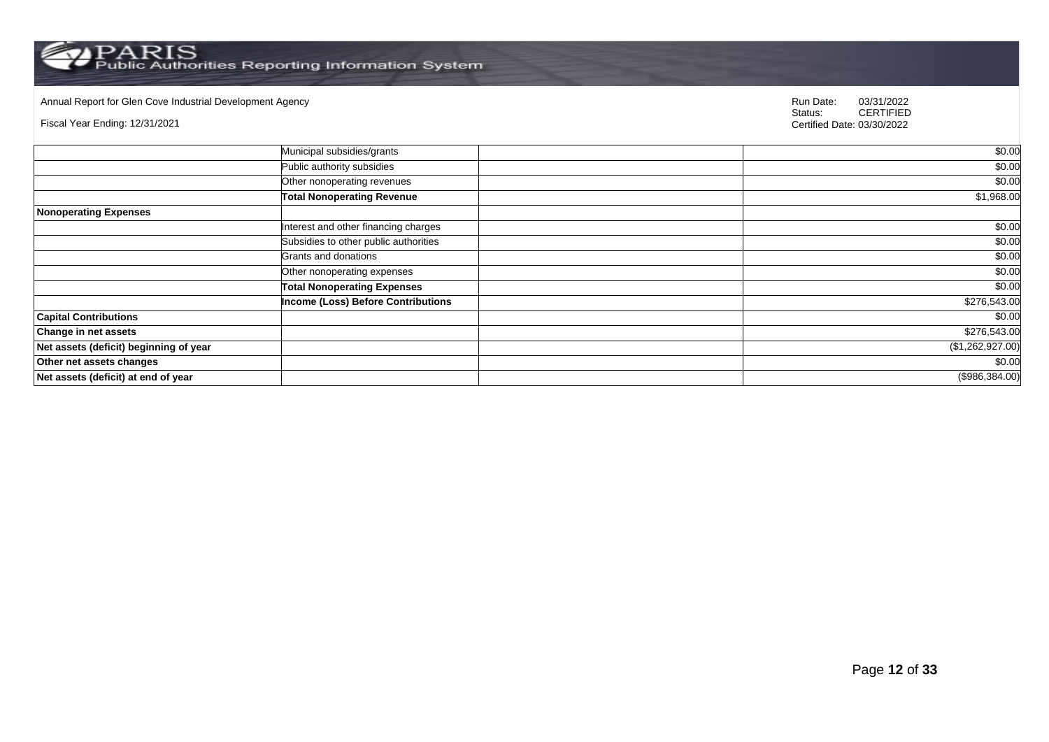Annual Report for Glen Cove Industrial Development Agency<br>
Status: CERTIFIED

Fiscal Year Ending: 12/31/2021

|                                        | Municipal subsidies/grants                | \$0.00           |
|----------------------------------------|-------------------------------------------|------------------|
|                                        | Public authority subsidies                | \$0.00           |
|                                        | Other nonoperating revenues               | \$0.00           |
|                                        | <b>Total Nonoperating Revenue</b>         | \$1,968.00       |
| <b>Nonoperating Expenses</b>           |                                           |                  |
|                                        | Interest and other financing charges      | \$0.00           |
|                                        | Subsidies to other public authorities     | \$0.00           |
|                                        | Grants and donations                      | \$0.00           |
|                                        | Other nonoperating expenses               | \$0.00           |
|                                        | <b>Total Nonoperating Expenses</b>        | \$0.00           |
|                                        | <b>Income (Loss) Before Contributions</b> | \$276,543.00     |
| <b>Capital Contributions</b>           |                                           | \$0.00           |
| <b>Change in net assets</b>            |                                           | \$276,543.00     |
| Net assets (deficit) beginning of year |                                           | (\$1,262,927.00) |
| Other net assets changes               |                                           | \$0.00           |
| Net assets (deficit) at end of year    |                                           | (\$986,384.00)   |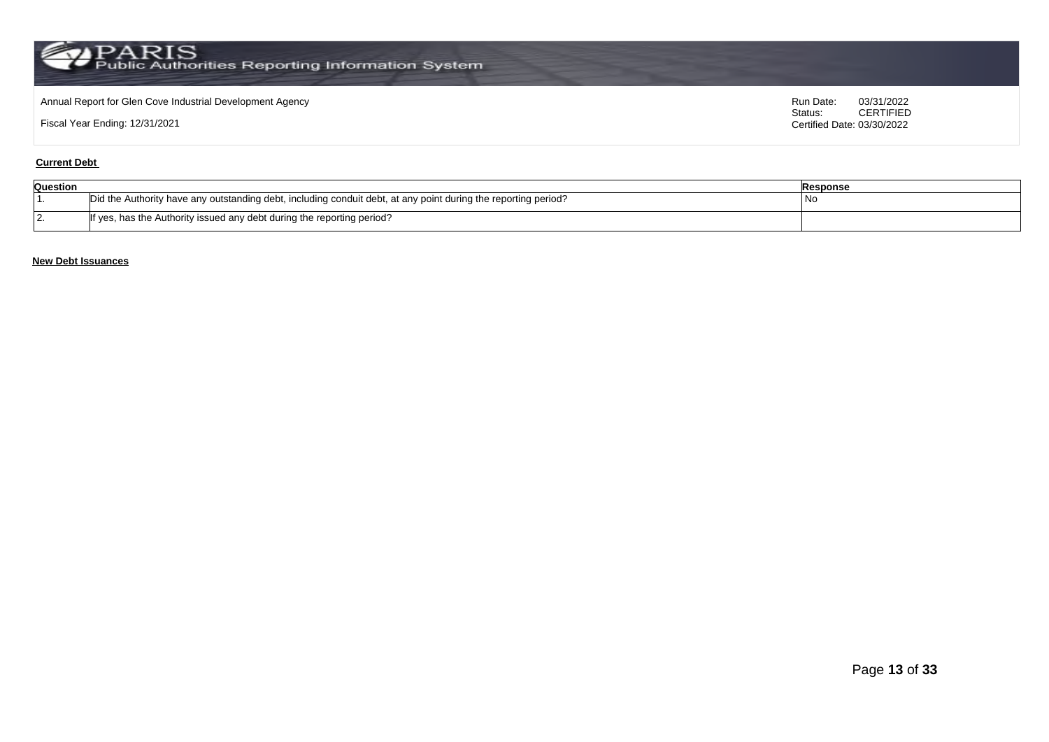### Annual Report for Glen Cove Industrial Development Agency<br>
Status: CERTIFIED<br>
CERTIFIED

Fiscal Year Ending: 12/31/2021

CERTIFIED Certified Date: 03/30/2022

### **Current Debt**

| Question |                                                                                                                | <b>Response</b> |
|----------|----------------------------------------------------------------------------------------------------------------|-----------------|
|          | Did the Authority have any outstanding debt, including conduit debt, at any point during the reporting period? | - I NC          |
| $\sim$   | If yes, has the Authority issued any debt during the reporting period?                                         |                 |

### **New Debt Issuances**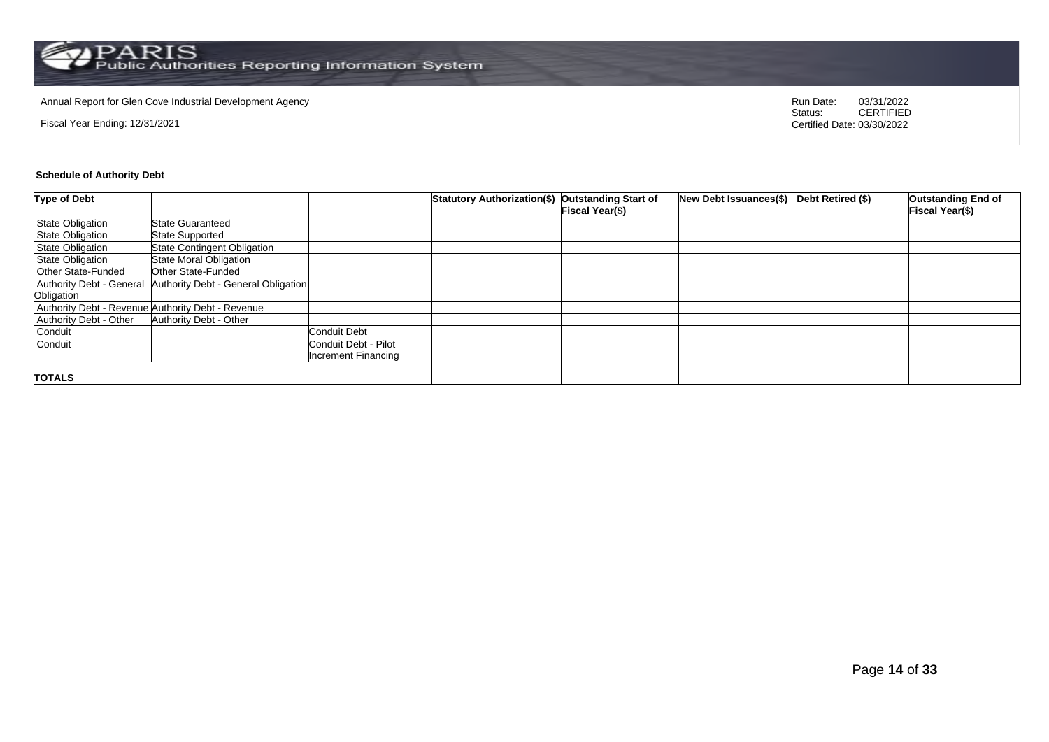# Annual Report for Glen Cove Industrial Development Agency<br>
Status: CERTIFIED

Fiscal Year Ending: 12/31/2021

CERTIFIED Certified Date: 03/30/2022

### **Schedule of Authority Debt**

| <b>Type of Debt</b>     |                                                              |                      | Statutory Authorization(\$) Outstanding Start of |                        | New Debt Issuances(\$) Debt Retired (\$) | <b>Outstanding End of</b> |
|-------------------------|--------------------------------------------------------------|----------------------|--------------------------------------------------|------------------------|------------------------------------------|---------------------------|
|                         |                                                              |                      |                                                  | <b>Fiscal Year(\$)</b> |                                          | <b>Fiscal Year(\$)</b>    |
| <b>State Obligation</b> | <b>State Guaranteed</b>                                      |                      |                                                  |                        |                                          |                           |
| <b>State Obligation</b> | <b>State Supported</b>                                       |                      |                                                  |                        |                                          |                           |
| <b>State Obligation</b> | <b>State Contingent Obligation</b>                           |                      |                                                  |                        |                                          |                           |
| <b>State Obligation</b> | <b>State Moral Obligation</b>                                |                      |                                                  |                        |                                          |                           |
| Other State-Funded      | Other State-Funded                                           |                      |                                                  |                        |                                          |                           |
|                         | Authority Debt - General Authority Debt - General Obligation |                      |                                                  |                        |                                          |                           |
| Obligation              |                                                              |                      |                                                  |                        |                                          |                           |
|                         | Authority Debt - Revenue Authority Debt - Revenue            |                      |                                                  |                        |                                          |                           |
| Authority Debt - Other  | Authority Debt - Other                                       |                      |                                                  |                        |                                          |                           |
| Conduit                 |                                                              | Conduit Debt         |                                                  |                        |                                          |                           |
| Conduit                 |                                                              | Conduit Debt - Pilot |                                                  |                        |                                          |                           |
|                         |                                                              | Increment Financing  |                                                  |                        |                                          |                           |
|                         |                                                              |                      |                                                  |                        |                                          |                           |
| <b>TOTALS</b>           |                                                              |                      |                                                  |                        |                                          |                           |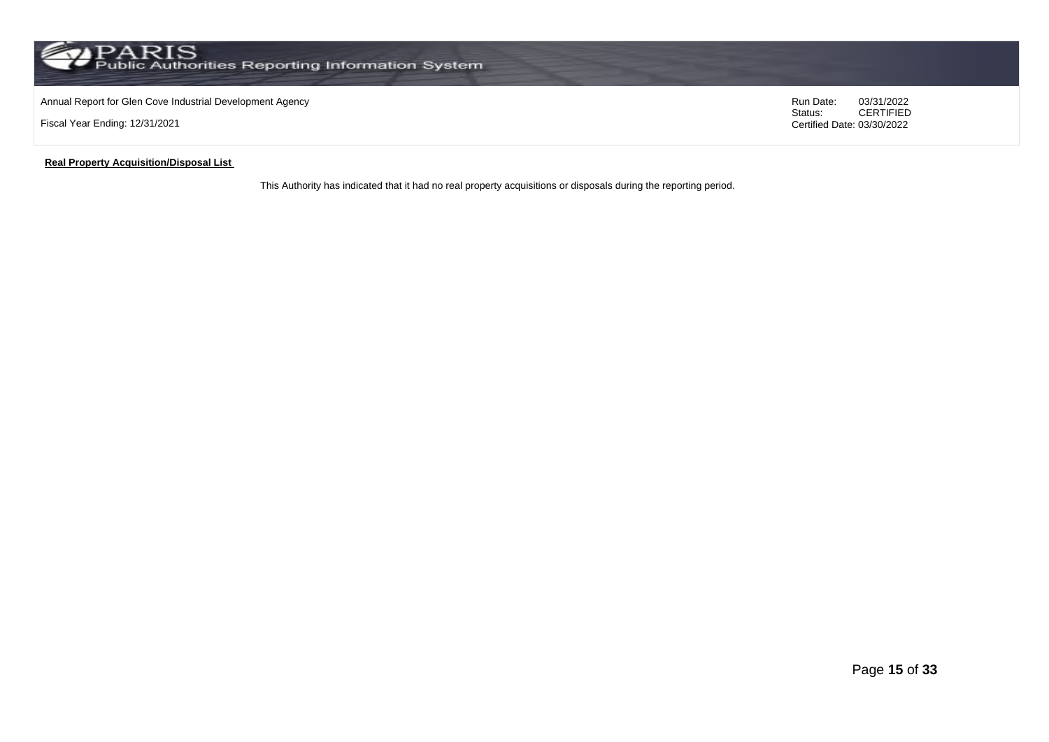### Annual Report for Glen Cove Industrial Development Agency<br>
Status: CERTIFIED<br>
CERTIFIED

Fiscal Year Ending: 12/31/2021

### CERTIFIED Certified Date: 03/30/2022

### **Real Property Acquisition/Disposal List**

This Authority has indicated that it had no real property acquisitions or disposals during the reporting period.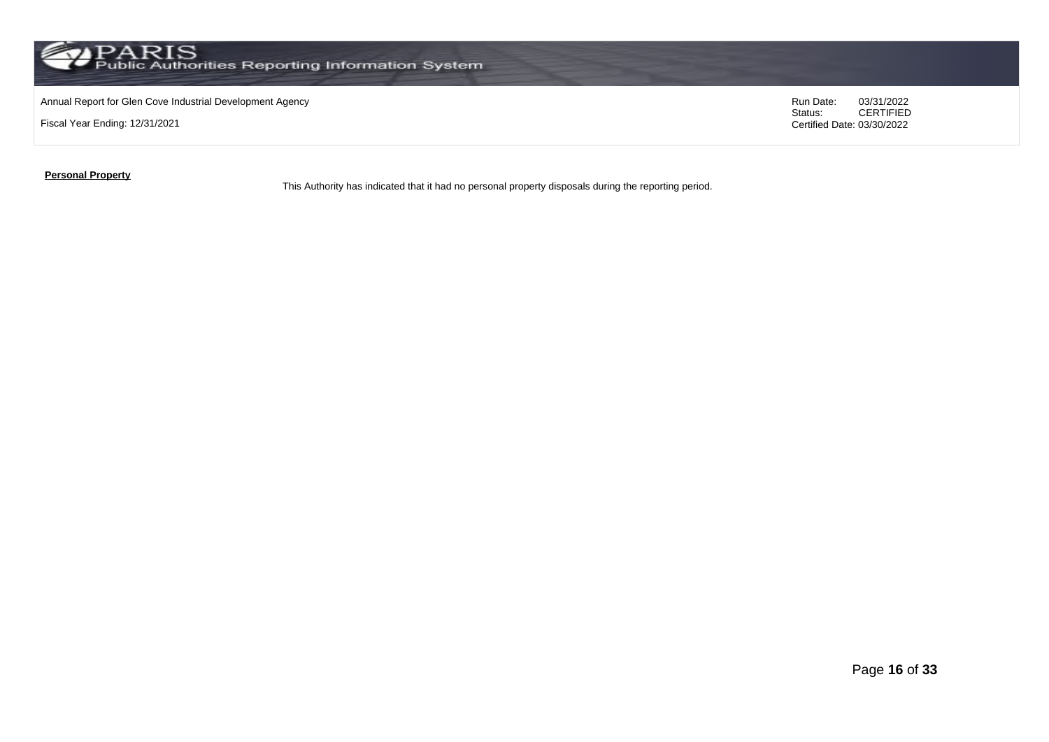

### Annual Report for Glen Cove Industrial Development Agency<br>
Status: CERTIFIED<br>
CERTIFIED

Fiscal Year Ending: 12/31/2021

CERTIFIED Certified Date: 03/30/2022

### **Personal Property**

This Authority has indicated that it had no personal property disposals during the reporting period.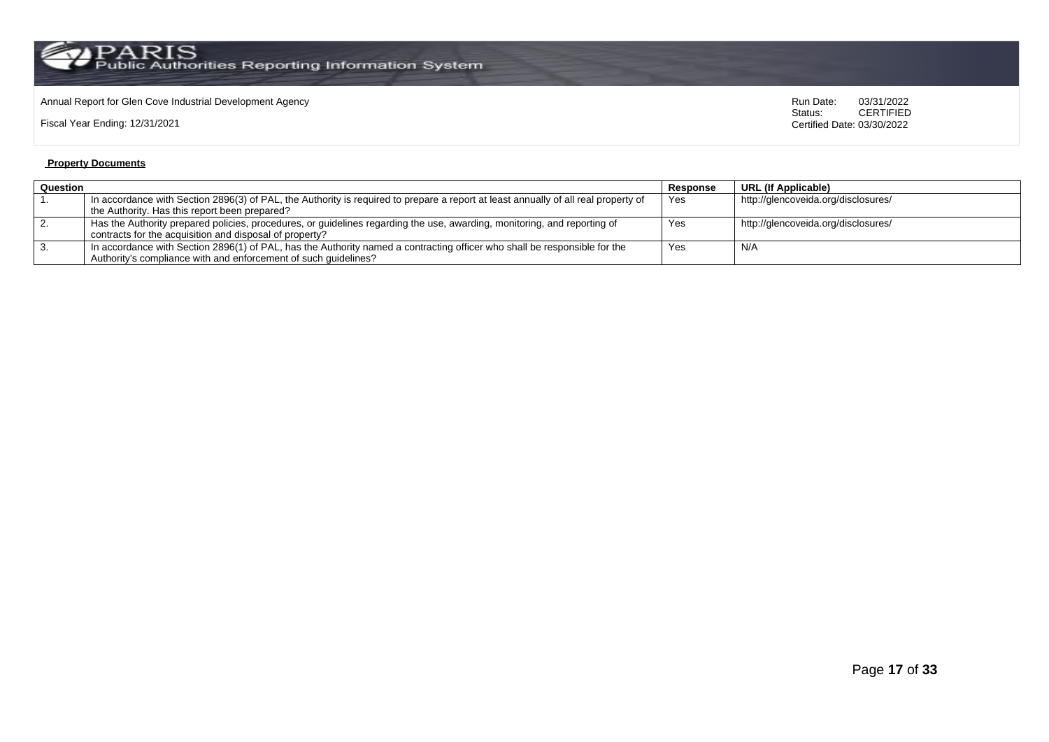# Annual Report for Glen Cove Industrial Development Agency<br>
Status: CERTIFIED

Fiscal Year Ending: 12/31/2021

CERTIFIED Certified Date: 03/30/2022

### **Property Documents**

| Question<br>Response |                                                                                                                                    |     | URL (If Applicable)                 |
|----------------------|------------------------------------------------------------------------------------------------------------------------------------|-----|-------------------------------------|
|                      | In accordance with Section 2896(3) of PAL, the Authority is required to prepare a report at least annually of all real property of | Yes | http://glencoveida.org/disclosures/ |
|                      | the Authority. Has this report been prepared?                                                                                      |     |                                     |
|                      | Has the Authority prepared policies, procedures, or guidelines regarding the use, awarding, monitoring, and reporting of           | Yes | http://glencoveida.org/disclosures/ |
|                      | contracts for the acquisition and disposal of property?                                                                            |     |                                     |
|                      | In accordance with Section 2896(1) of PAL, has the Authority named a contracting officer who shall be responsible for the          | Yes | N/A                                 |
|                      | Authority's compliance with and enforcement of such quidelines?                                                                    |     |                                     |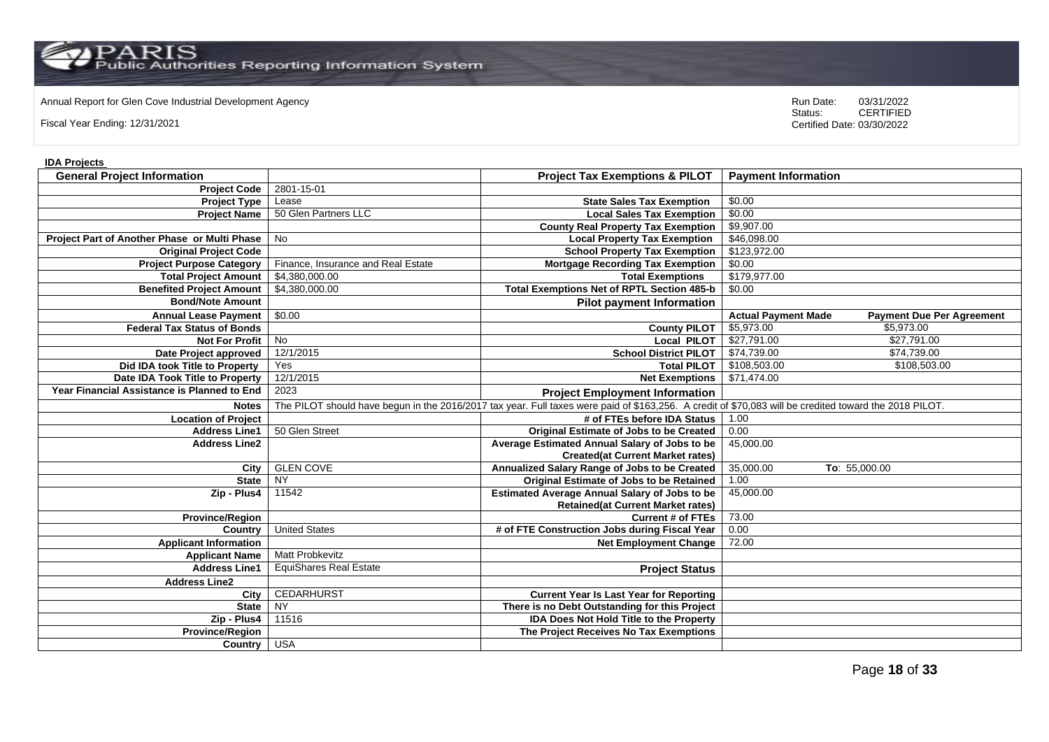Annual Report for Glen Cove Industrial Development Agency<br>
Status: CERTIFIED

Fiscal Year Ending: 12/31/2021

CERTIFIED Certified Date: 03/30/2022

### **IDA Projects**

| <b>General Project Information</b>           |                                    | <b>Project Tax Exemptions &amp; PILOT</b>                                                                                                              | <b>Payment Information</b>                                     |
|----------------------------------------------|------------------------------------|--------------------------------------------------------------------------------------------------------------------------------------------------------|----------------------------------------------------------------|
| <b>Project Code</b>                          | 2801-15-01                         |                                                                                                                                                        |                                                                |
| <b>Project Type</b>                          | Lease                              | <b>State Sales Tax Exemption</b>                                                                                                                       | \$0.00                                                         |
| <b>Project Name</b>                          | 50 Glen Partners LLC               | <b>Local Sales Tax Exemption</b>                                                                                                                       | \$0.00                                                         |
|                                              |                                    | <b>County Real Property Tax Exemption</b>                                                                                                              | \$9,907.00                                                     |
| Project Part of Another Phase or Multi Phase | <b>No</b>                          | <b>Local Property Tax Exemption</b>                                                                                                                    | \$46,098.00                                                    |
| <b>Original Project Code</b>                 |                                    | <b>School Property Tax Exemption</b>                                                                                                                   | \$123,972.00                                                   |
| <b>Project Purpose Category</b>              | Finance, Insurance and Real Estate | <b>Mortgage Recording Tax Exemption</b>                                                                                                                | \$0.00                                                         |
| <b>Total Project Amount</b>                  | \$4,380,000.00                     | <b>Total Exemptions</b>                                                                                                                                | \$179,977.00                                                   |
| <b>Benefited Project Amount</b>              | \$4,380,000.00                     | <b>Total Exemptions Net of RPTL Section 485-b</b>                                                                                                      | \$0.00                                                         |
| <b>Bond/Note Amount</b>                      |                                    | <b>Pilot payment Information</b>                                                                                                                       |                                                                |
| <b>Annual Lease Payment</b>                  | \$0.00                             |                                                                                                                                                        | <b>Actual Payment Made</b><br><b>Payment Due Per Agreement</b> |
| <b>Federal Tax Status of Bonds</b>           |                                    | <b>County PILOT</b>                                                                                                                                    | \$5,973.00<br>\$5,973.00                                       |
| <b>Not For Profit</b>                        | $\overline{N}$                     | <b>Local PILOT</b>                                                                                                                                     | \$27,791.00<br>\$27,791.00                                     |
| Date Project approved                        | 12/1/2015                          | <b>School District PILOT</b>                                                                                                                           | \$74,739.00<br>\$74,739.00                                     |
| Did IDA took Title to Property               | Yes                                | <b>Total PILOT</b>                                                                                                                                     | \$108,503.00<br>\$108,503.00                                   |
| Date IDA Took Title to Property              | 12/1/2015                          | <b>Net Exemptions</b>                                                                                                                                  | \$71,474.00                                                    |
| Year Financial Assistance is Planned to End  | 2023                               | <b>Project Employment Information</b>                                                                                                                  |                                                                |
| <b>Notes</b>                                 |                                    | The PILOT should have begun in the 2016/2017 tax year. Full taxes were paid of \$163,256. A credit of \$70,083 will be credited toward the 2018 PILOT. |                                                                |
| <b>Location of Project</b>                   |                                    | # of FTEs before IDA Status                                                                                                                            | 1.00                                                           |
| <b>Address Line1</b>                         | 50 Glen Street                     | <b>Original Estimate of Jobs to be Created</b>                                                                                                         | 0.00                                                           |
| <b>Address Line2</b>                         |                                    | Average Estimated Annual Salary of Jobs to be                                                                                                          | 45,000.00                                                      |
|                                              |                                    | <b>Created(at Current Market rates)</b>                                                                                                                |                                                                |
| City                                         | <b>GLEN COVE</b>                   | Annualized Salary Range of Jobs to be Created                                                                                                          | 35,000.00<br>To: 55,000.00                                     |
| <b>State</b>                                 | <b>NY</b>                          | Original Estimate of Jobs to be Retained                                                                                                               | 1.00                                                           |
| Zip - Plus4                                  | 11542                              | <b>Estimated Average Annual Salary of Jobs to be</b>                                                                                                   | 45,000.00                                                      |
|                                              |                                    | <b>Retained(at Current Market rates)</b>                                                                                                               |                                                                |
| <b>Province/Region</b>                       |                                    | <b>Current # of FTEs</b>                                                                                                                               | 73.00                                                          |
| Country                                      | <b>United States</b>               | # of FTE Construction Jobs during Fiscal Year                                                                                                          | 0.00                                                           |
| <b>Applicant Information</b>                 |                                    | <b>Net Employment Change</b>                                                                                                                           | 72.00                                                          |
| <b>Applicant Name</b>                        | <b>Matt Probkevitz</b>             |                                                                                                                                                        |                                                                |
| <b>Address Line1</b>                         | <b>EquiShares Real Estate</b>      | <b>Project Status</b>                                                                                                                                  |                                                                |
| <b>Address Line2</b>                         |                                    |                                                                                                                                                        |                                                                |
| City                                         | <b>CEDARHURST</b>                  | <b>Current Year Is Last Year for Reporting</b>                                                                                                         |                                                                |
| <b>State</b>                                 | $\overline{N}$                     | There is no Debt Outstanding for this Project                                                                                                          |                                                                |
| Zip - Plus4                                  | 11516                              | <b>IDA Does Not Hold Title to the Property</b>                                                                                                         |                                                                |
| <b>Province/Region</b>                       |                                    | The Project Receives No Tax Exemptions                                                                                                                 |                                                                |
| Country USA                                  |                                    |                                                                                                                                                        |                                                                |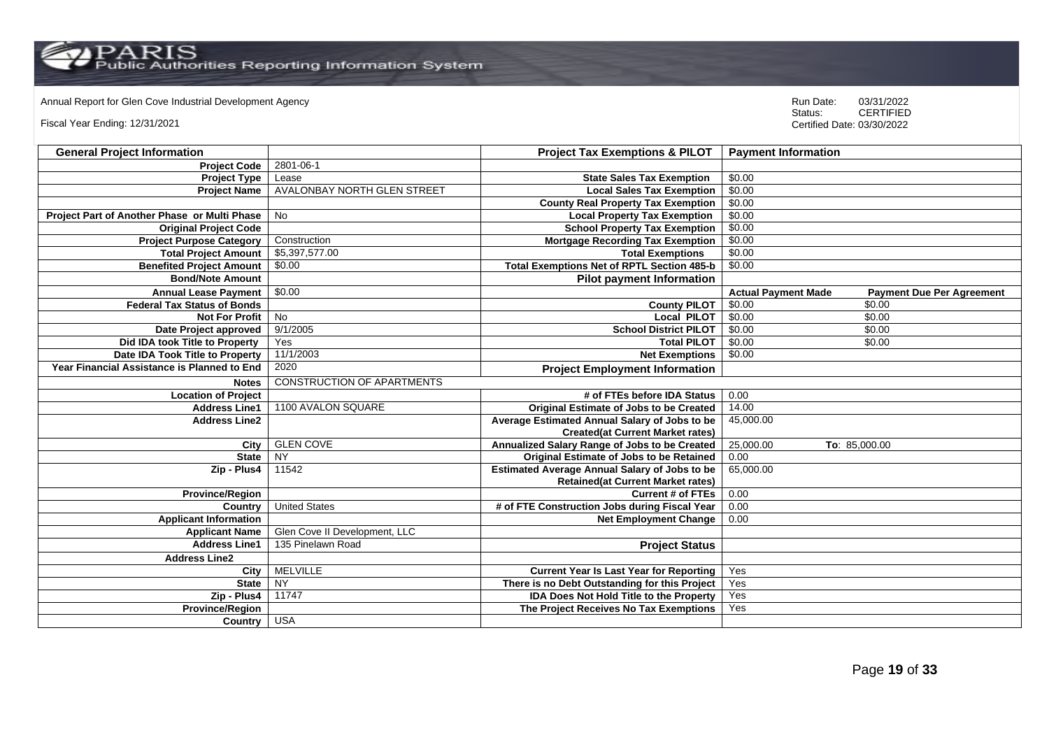# Annual Report for Glen Cove Industrial Development Agency<br>
Status: CERTIFIED

Fiscal Year Ending: 12/31/2021

| <b>General Project Information</b>           |                                    | <b>Project Tax Exemptions &amp; PILOT</b>            | <b>Payment Information</b>                                     |
|----------------------------------------------|------------------------------------|------------------------------------------------------|----------------------------------------------------------------|
| <b>Project Code</b>                          | 2801-06-1                          |                                                      |                                                                |
| <b>Project Type</b>                          | Lease                              | <b>State Sales Tax Exemption</b>                     | \$0.00                                                         |
| <b>Project Name</b>                          | <b>AVALONBAY NORTH GLEN STREET</b> | <b>Local Sales Tax Exemption</b>                     | \$0.00                                                         |
|                                              |                                    | <b>County Real Property Tax Exemption</b>            | \$0.00                                                         |
| Project Part of Another Phase or Multi Phase | <b>No</b>                          | <b>Local Property Tax Exemption</b>                  | \$0.00                                                         |
| <b>Original Project Code</b>                 |                                    | <b>School Property Tax Exemption</b>                 | \$0.00                                                         |
| <b>Project Purpose Category</b>              | Construction                       | <b>Mortgage Recording Tax Exemption</b>              | \$0.00                                                         |
| <b>Total Project Amount</b>                  | \$5,397,577.00                     | <b>Total Exemptions</b>                              | \$0.00                                                         |
| <b>Benefited Project Amount</b>              | \$0.00                             | <b>Total Exemptions Net of RPTL Section 485-b</b>    | \$0.00                                                         |
| <b>Bond/Note Amount</b>                      |                                    | <b>Pilot payment Information</b>                     |                                                                |
| <b>Annual Lease Payment</b>                  | \$0.00                             |                                                      | <b>Actual Payment Made</b><br><b>Payment Due Per Agreement</b> |
| <b>Federal Tax Status of Bonds</b>           |                                    | <b>County PILOT</b>                                  | \$0.00<br>\$0.00                                               |
| <b>Not For Profit</b>                        | <b>No</b>                          | Local PILOT                                          | \$0.00<br>\$0.00                                               |
| Date Project approved                        | 9/1/2005                           | <b>School District PILOT</b>                         | \$0.00<br>\$0.00                                               |
| Did IDA took Title to Property               | Yes                                | <b>Total PILOT</b>                                   | \$0.00<br>\$0.00                                               |
| <b>Date IDA Took Title to Property</b>       | 11/1/2003                          | <b>Net Exemptions</b>                                | \$0.00                                                         |
| Year Financial Assistance is Planned to End  | 2020                               | <b>Project Employment Information</b>                |                                                                |
| <b>Notes</b>                                 | <b>CONSTRUCTION OF APARTMENTS</b>  |                                                      |                                                                |
| <b>Location of Project</b>                   |                                    | # of FTEs before IDA Status                          | 0.00                                                           |
| <b>Address Line1</b>                         | 1100 AVALON SQUARE                 | <b>Original Estimate of Jobs to be Created</b>       | 14.00                                                          |
| <b>Address Line2</b>                         |                                    | Average Estimated Annual Salary of Jobs to be        | 45,000.00                                                      |
|                                              |                                    | <b>Created(at Current Market rates)</b>              |                                                                |
| City                                         | <b>GLEN COVE</b>                   | Annualized Salary Range of Jobs to be Created        | 25,000.00<br>To: 85,000.00                                     |
| <b>State</b>                                 | <b>NY</b>                          | <b>Original Estimate of Jobs to be Retained</b>      | 0.00                                                           |
| Zip - Plus4                                  | 11542                              | <b>Estimated Average Annual Salary of Jobs to be</b> | 65,000.00                                                      |
|                                              |                                    | <b>Retained(at Current Market rates)</b>             |                                                                |
| <b>Province/Region</b>                       |                                    | <b>Current # of FTEs</b>                             | 0.00                                                           |
| Country                                      | <b>United States</b>               | # of FTE Construction Jobs during Fiscal Year        | 0.00                                                           |
| <b>Applicant Information</b>                 |                                    | <b>Net Employment Change</b>                         | 0.00                                                           |
| <b>Applicant Name</b>                        | Glen Cove II Development, LLC      |                                                      |                                                                |
| <b>Address Line1</b>                         | 135 Pinelawn Road                  | <b>Project Status</b>                                |                                                                |
| <b>Address Line2</b>                         |                                    |                                                      |                                                                |
| City                                         | <b>MELVILLE</b>                    | <b>Current Year Is Last Year for Reporting</b>       | Yes                                                            |
| <b>State</b>                                 | NY                                 | There is no Debt Outstanding for this Project        | Yes                                                            |
| Zip - Plus4                                  | 11747                              | <b>IDA Does Not Hold Title to the Property</b>       | Yes                                                            |
| Province/Region                              |                                    | The Project Receives No Tax Exemptions               | Yes                                                            |
| Country                                      | <b>USA</b>                         |                                                      |                                                                |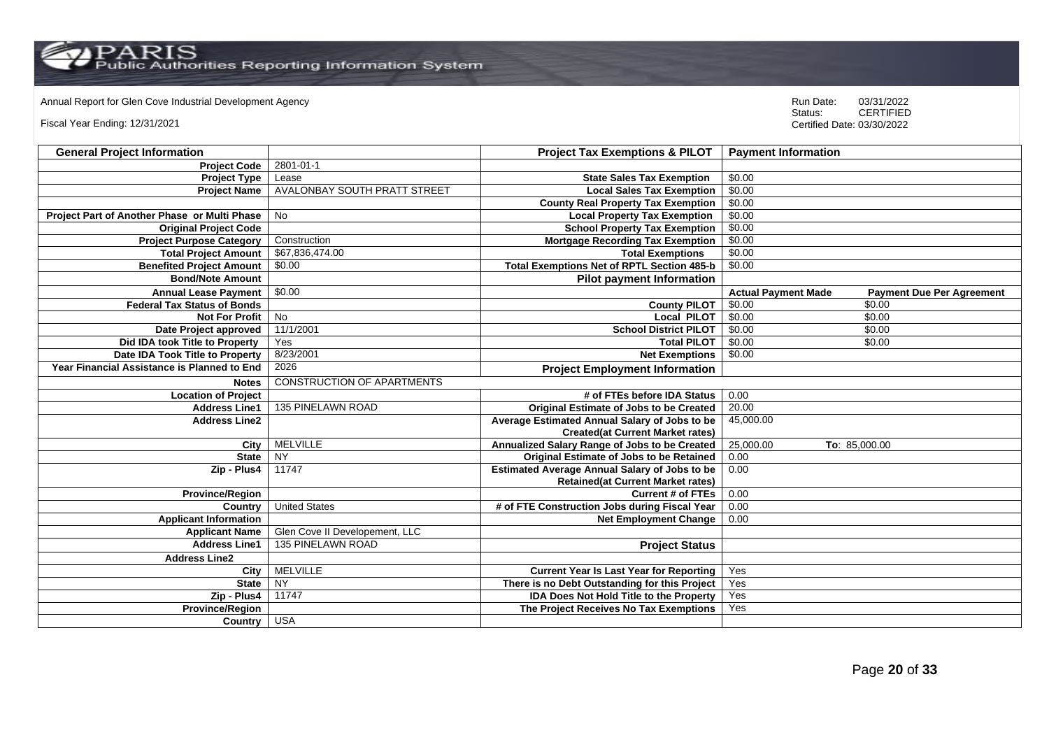# Annual Report for Glen Cove Industrial Development Agency<br>
Status: CERTIFIED

Fiscal Year Ending: 12/31/2021

| <b>General Project Information</b>                 |                                   | <b>Project Tax Exemptions &amp; PILOT</b>            | <b>Payment Information</b>                                     |
|----------------------------------------------------|-----------------------------------|------------------------------------------------------|----------------------------------------------------------------|
| <b>Project Code</b>                                | 2801-01-1                         |                                                      |                                                                |
| <b>Project Type</b>                                | Lease                             | <b>State Sales Tax Exemption</b>                     | \$0.00                                                         |
| <b>Project Name</b>                                | AVALONBAY SOUTH PRATT STREET      | <b>Local Sales Tax Exemption</b>                     | \$0.00                                                         |
|                                                    |                                   | <b>County Real Property Tax Exemption</b>            | \$0.00                                                         |
| Project Part of Another Phase or Multi Phase       | No                                | <b>Local Property Tax Exemption</b>                  | \$0.00                                                         |
| <b>Original Project Code</b>                       |                                   | <b>School Property Tax Exemption</b>                 | \$0.00                                                         |
| <b>Project Purpose Category</b>                    | Construction                      | <b>Mortgage Recording Tax Exemption</b>              | \$0.00                                                         |
| <b>Total Project Amount</b>                        | \$67,836,474.00                   | <b>Total Exemptions</b>                              | \$0.00                                                         |
| <b>Benefited Project Amount</b>                    | \$0.00                            | <b>Total Exemptions Net of RPTL Section 485-b</b>    | \$0.00                                                         |
| <b>Bond/Note Amount</b>                            |                                   | <b>Pilot payment Information</b>                     |                                                                |
| <b>Annual Lease Payment</b>                        | \$0.00                            |                                                      | <b>Actual Payment Made</b><br><b>Payment Due Per Agreement</b> |
| <b>Federal Tax Status of Bonds</b>                 |                                   | <b>County PILOT</b>                                  | \$0.00<br>\$0.00                                               |
| <b>Not For Profit</b>                              | $\overline{N}$                    | <b>Local PILOT</b>                                   | \$0.00<br>\$0.00                                               |
| Date Project approved                              | 11/1/2001                         | <b>School District PILOT</b>                         | \$0.00<br>\$0.00                                               |
| Did IDA took Title to Property                     | Yes                               | <b>Total PILOT</b>                                   | \$0.00<br>\$0.00                                               |
| Date IDA Took Title to Property                    | 8/23/2001                         | <b>Net Exemptions</b>                                | \$0.00                                                         |
| <b>Year Financial Assistance is Planned to End</b> | 2026                              | <b>Project Employment Information</b>                |                                                                |
| <b>Notes</b>                                       | <b>CONSTRUCTION OF APARTMENTS</b> |                                                      |                                                                |
| <b>Location of Project</b>                         |                                   | # of FTEs before IDA Status                          | 0.00                                                           |
| <b>Address Line1</b>                               | 135 PINELAWN ROAD                 | Original Estimate of Jobs to be Created              | 20.00                                                          |
| <b>Address Line2</b>                               |                                   | Average Estimated Annual Salary of Jobs to be        | 45,000.00                                                      |
|                                                    |                                   | <b>Created(at Current Market rates)</b>              |                                                                |
| City                                               | <b>MELVILLE</b>                   | Annualized Salary Range of Jobs to be Created        | 25,000.00<br>To: 85,000.00                                     |
| <b>State</b>                                       | <b>NY</b>                         | <b>Original Estimate of Jobs to be Retained</b>      | 0.00                                                           |
| Zip - Plus4                                        | 11747                             | <b>Estimated Average Annual Salary of Jobs to be</b> | 0.00                                                           |
|                                                    |                                   | <b>Retained(at Current Market rates)</b>             |                                                                |
| <b>Province/Region</b>                             |                                   | <b>Current # of FTEs</b>                             | 0.00                                                           |
| Country                                            | <b>United States</b>              | # of FTE Construction Jobs during Fiscal Year        | 0.00                                                           |
| <b>Applicant Information</b>                       |                                   | <b>Net Employment Change</b>                         | 0.00                                                           |
| <b>Applicant Name</b>                              | Glen Cove II Developement, LLC    |                                                      |                                                                |
| <b>Address Line1</b>                               | 135 PINELAWN ROAD                 | <b>Project Status</b>                                |                                                                |
| <b>Address Line2</b>                               |                                   |                                                      |                                                                |
| City                                               | <b>MELVILLE</b>                   | <b>Current Year Is Last Year for Reporting</b>       | Yes                                                            |
| <b>State</b>                                       | NY                                | There is no Debt Outstanding for this Project        | Yes                                                            |
| Zip - Plus4                                        | 11747                             | <b>IDA Does Not Hold Title to the Property</b>       | Yes                                                            |
| <b>Province/Region</b>                             |                                   | The Project Receives No Tax Exemptions               | Yes                                                            |
| Country                                            | <b>USA</b>                        |                                                      |                                                                |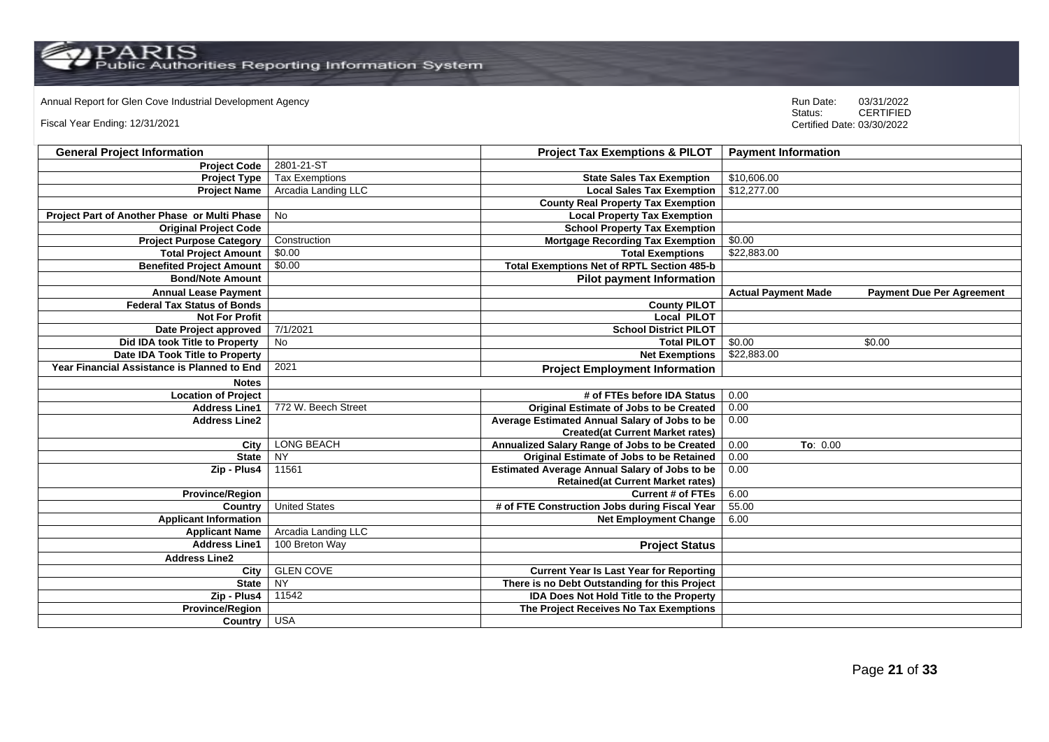# Annual Report for Glen Cove Industrial Development Agency<br>
Status: CERTIFIED

Fiscal Year Ending: 12/31/2021

| <b>General Project Information</b>           |                       | <b>Project Tax Exemptions &amp; PILOT</b>            | <b>Payment Information</b> |                                  |
|----------------------------------------------|-----------------------|------------------------------------------------------|----------------------------|----------------------------------|
| <b>Project Code</b>                          | 2801-21-ST            |                                                      |                            |                                  |
| <b>Project Type</b>                          | <b>Tax Exemptions</b> | <b>State Sales Tax Exemption</b>                     | \$10,606.00                |                                  |
| <b>Project Name</b>                          | Arcadia Landing LLC   | <b>Local Sales Tax Exemption</b>                     | \$12,277.00                |                                  |
|                                              |                       | <b>County Real Property Tax Exemption</b>            |                            |                                  |
| Project Part of Another Phase or Multi Phase | <b>No</b>             | <b>Local Property Tax Exemption</b>                  |                            |                                  |
| <b>Original Project Code</b>                 |                       | <b>School Property Tax Exemption</b>                 |                            |                                  |
| <b>Project Purpose Category</b>              | Construction          | <b>Mortgage Recording Tax Exemption</b>              | \$0.00                     |                                  |
| <b>Total Project Amount</b>                  | \$0.00                | <b>Total Exemptions</b>                              | \$22,883.00                |                                  |
| <b>Benefited Project Amount</b>              | \$0.00                | <b>Total Exemptions Net of RPTL Section 485-b</b>    |                            |                                  |
| <b>Bond/Note Amount</b>                      |                       | <b>Pilot payment Information</b>                     |                            |                                  |
| <b>Annual Lease Payment</b>                  |                       |                                                      | <b>Actual Payment Made</b> | <b>Payment Due Per Agreement</b> |
| <b>Federal Tax Status of Bonds</b>           |                       | <b>County PILOT</b>                                  |                            |                                  |
| <b>Not For Profit</b>                        |                       | <b>Local PILOT</b>                                   |                            |                                  |
| Date Project approved                        | 7/1/2021              | <b>School District PILOT</b>                         |                            |                                  |
| Did IDA took Title to Property               | No                    | <b>Total PILOT</b>                                   | \$0.00<br>\$0.00           |                                  |
| Date IDA Took Title to Property              |                       | <b>Net Exemptions</b>                                | \$22,883.00                |                                  |
| Year Financial Assistance is Planned to End  | 2021                  | <b>Project Employment Information</b>                |                            |                                  |
| <b>Notes</b>                                 |                       |                                                      |                            |                                  |
| <b>Location of Project</b>                   |                       | # of FTEs before IDA Status                          | 0.00                       |                                  |
| <b>Address Line1</b>                         | 772 W. Beech Street   | <b>Original Estimate of Jobs to be Created</b>       | 0.00                       |                                  |
| <b>Address Line2</b>                         |                       | Average Estimated Annual Salary of Jobs to be        | 0.00                       |                                  |
|                                              |                       | <b>Created(at Current Market rates)</b>              |                            |                                  |
| City                                         | <b>LONG BEACH</b>     | Annualized Salary Range of Jobs to be Created        | 0.00<br>To: 0.00           |                                  |
| <b>State</b>                                 | <b>NY</b>             | <b>Original Estimate of Jobs to be Retained</b>      | 0.00                       |                                  |
| Zip - Plus4                                  | 11561                 | <b>Estimated Average Annual Salary of Jobs to be</b> | 0.00                       |                                  |
|                                              |                       | <b>Retained(at Current Market rates)</b>             |                            |                                  |
| <b>Province/Region</b>                       |                       | <b>Current # of FTEs</b>                             | 6.00                       |                                  |
| Country                                      | <b>United States</b>  | # of FTE Construction Jobs during Fiscal Year        | 55.00                      |                                  |
| <b>Applicant Information</b>                 |                       | <b>Net Employment Change</b>                         | 6.00                       |                                  |
| <b>Applicant Name</b>                        | Arcadia Landing LLC   |                                                      |                            |                                  |
| <b>Address Line1</b>                         | 100 Breton Way        | <b>Project Status</b>                                |                            |                                  |
| <b>Address Line2</b>                         |                       |                                                      |                            |                                  |
| City                                         | <b>GLEN COVE</b>      | <b>Current Year Is Last Year for Reporting</b>       |                            |                                  |
| <b>State</b>                                 | NY                    | There is no Debt Outstanding for this Project        |                            |                                  |
| Zip - Plus4                                  | 11542                 | <b>IDA Does Not Hold Title to the Property</b>       |                            |                                  |
| <b>Province/Region</b>                       |                       | The Project Receives No Tax Exemptions               |                            |                                  |
| Country                                      | <b>USA</b>            |                                                      |                            |                                  |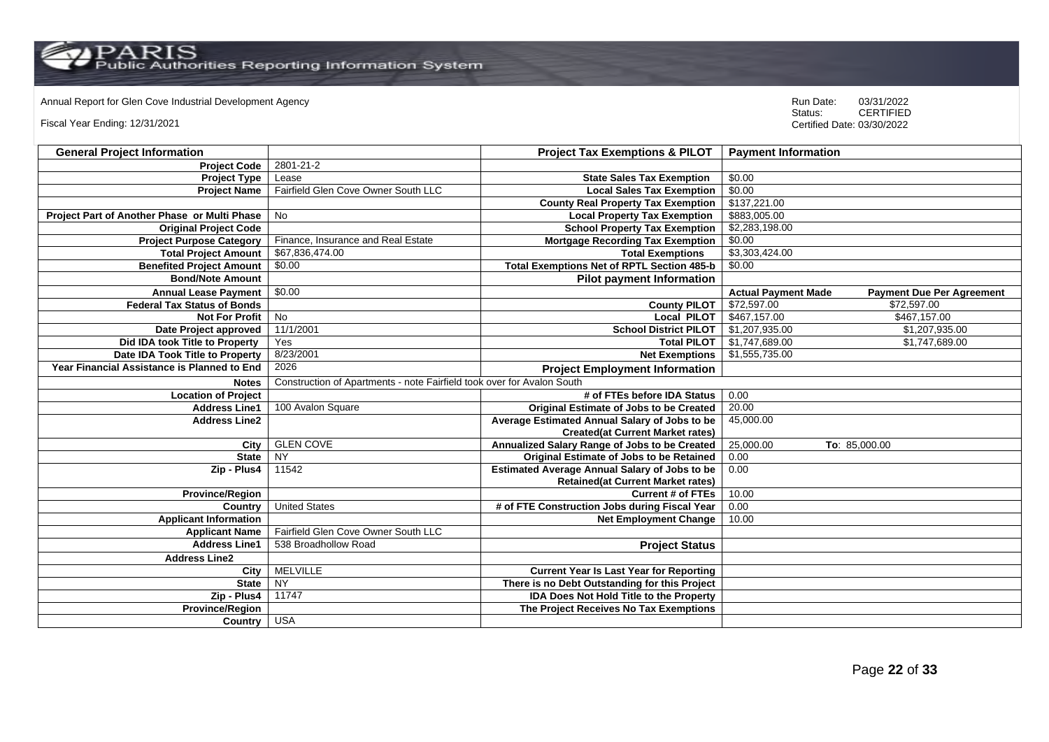$\operatorname{PARIS}_{\text{Public Authorities}\,\text{Reporting\,\text{Information System}}}$ 

# Annual Report for Glen Cove Industrial Development Agency<br>
Status: CERTIFIED

Fiscal Year Ending: 12/31/2021

| <b>General Project Information</b>           |                                                                        | <b>Project Tax Exemptions &amp; PILOT</b>            | <b>Payment Information</b> |                                  |
|----------------------------------------------|------------------------------------------------------------------------|------------------------------------------------------|----------------------------|----------------------------------|
| <b>Project Code</b>                          | 2801-21-2                                                              |                                                      |                            |                                  |
| <b>Project Type</b>                          | Lease                                                                  | <b>State Sales Tax Exemption</b>                     | \$0.00                     |                                  |
| <b>Project Name</b>                          | Fairfield Glen Cove Owner South LLC                                    | <b>Local Sales Tax Exemption</b>                     | \$0.00                     |                                  |
|                                              |                                                                        | <b>County Real Property Tax Exemption</b>            | \$137,221.00               |                                  |
| Project Part of Another Phase or Multi Phase | <b>No</b>                                                              | <b>Local Property Tax Exemption</b>                  | \$883,005.00               |                                  |
| <b>Original Project Code</b>                 |                                                                        | <b>School Property Tax Exemption</b>                 | \$2,283,198.00             |                                  |
| <b>Project Purpose Category</b>              | Finance, Insurance and Real Estate                                     | <b>Mortgage Recording Tax Exemption</b>              | \$0.00                     |                                  |
| <b>Total Project Amount</b>                  | \$67,836,474.00                                                        | <b>Total Exemptions</b>                              | \$3,303,424.00             |                                  |
| <b>Benefited Project Amount</b>              | \$0.00                                                                 | <b>Total Exemptions Net of RPTL Section 485-b</b>    | \$0.00                     |                                  |
| <b>Bond/Note Amount</b>                      |                                                                        | <b>Pilot payment Information</b>                     |                            |                                  |
| <b>Annual Lease Payment</b>                  | \$0.00                                                                 |                                                      | <b>Actual Payment Made</b> | <b>Payment Due Per Agreement</b> |
| <b>Federal Tax Status of Bonds</b>           |                                                                        | <b>County PILOT</b>                                  | \$72,597.00                | \$72,597.00                      |
| <b>Not For Profit</b>                        | <b>No</b>                                                              | <b>Local PILOT</b>                                   | \$467,157.00               | \$467,157.00                     |
| Date Project approved                        | 11/1/2001                                                              | <b>School District PILOT</b>                         | \$1,207,935.00             | \$1,207,935.00                   |
| Did IDA took Title to Property               | Yes                                                                    | <b>Total PILOT</b>                                   | \$1,747,689.00             | \$1,747,689.00                   |
| Date IDA Took Title to Property              | 8/23/2001                                                              | <b>Net Exemptions</b>                                | \$1,555,735.00             |                                  |
| Year Financial Assistance is Planned to End  | 2026                                                                   | <b>Project Employment Information</b>                |                            |                                  |
| <b>Notes</b>                                 | Construction of Apartments - note Fairfield took over for Avalon South |                                                      |                            |                                  |
| <b>Location of Project</b>                   |                                                                        | # of FTEs before IDA Status                          | 0.00                       |                                  |
| <b>Address Line1</b>                         | 100 Avalon Square                                                      | <b>Original Estimate of Jobs to be Created</b>       | 20.00                      |                                  |
| <b>Address Line2</b>                         |                                                                        | Average Estimated Annual Salary of Jobs to be        | 45,000.00                  |                                  |
|                                              |                                                                        | <b>Created(at Current Market rates)</b>              |                            |                                  |
| City                                         | <b>GLEN COVE</b>                                                       | Annualized Salary Range of Jobs to be Created        | 25,000.00                  | To: 85,000.00                    |
| <b>State</b>                                 | <b>NY</b>                                                              | Original Estimate of Jobs to be Retained             | 0.00                       |                                  |
| Zip - Plus4                                  | 11542                                                                  | <b>Estimated Average Annual Salary of Jobs to be</b> | 0.00                       |                                  |
|                                              |                                                                        | <b>Retained(at Current Market rates)</b>             |                            |                                  |
| <b>Province/Region</b>                       |                                                                        | <b>Current # of FTEs</b>                             | 10.00                      |                                  |
| Country                                      | <b>United States</b>                                                   | # of FTE Construction Jobs during Fiscal Year        | 0.00                       |                                  |
| <b>Applicant Information</b>                 |                                                                        | <b>Net Employment Change</b>                         | 10.00                      |                                  |
| <b>Applicant Name</b>                        | Fairfield Glen Cove Owner South LLC                                    |                                                      |                            |                                  |
| <b>Address Line1</b>                         | 538 Broadhollow Road                                                   | <b>Project Status</b>                                |                            |                                  |
| <b>Address Line2</b>                         |                                                                        |                                                      |                            |                                  |
| City                                         | <b>MELVILLE</b>                                                        | <b>Current Year Is Last Year for Reporting</b>       |                            |                                  |
| <b>State</b>                                 | NY                                                                     | There is no Debt Outstanding for this Project        |                            |                                  |
| Zip - Plus4                                  | 11747                                                                  | <b>IDA Does Not Hold Title to the Property</b>       |                            |                                  |
| <b>Province/Region</b>                       |                                                                        | The Project Receives No Tax Exemptions               |                            |                                  |
| Country                                      | <b>USA</b>                                                             |                                                      |                            |                                  |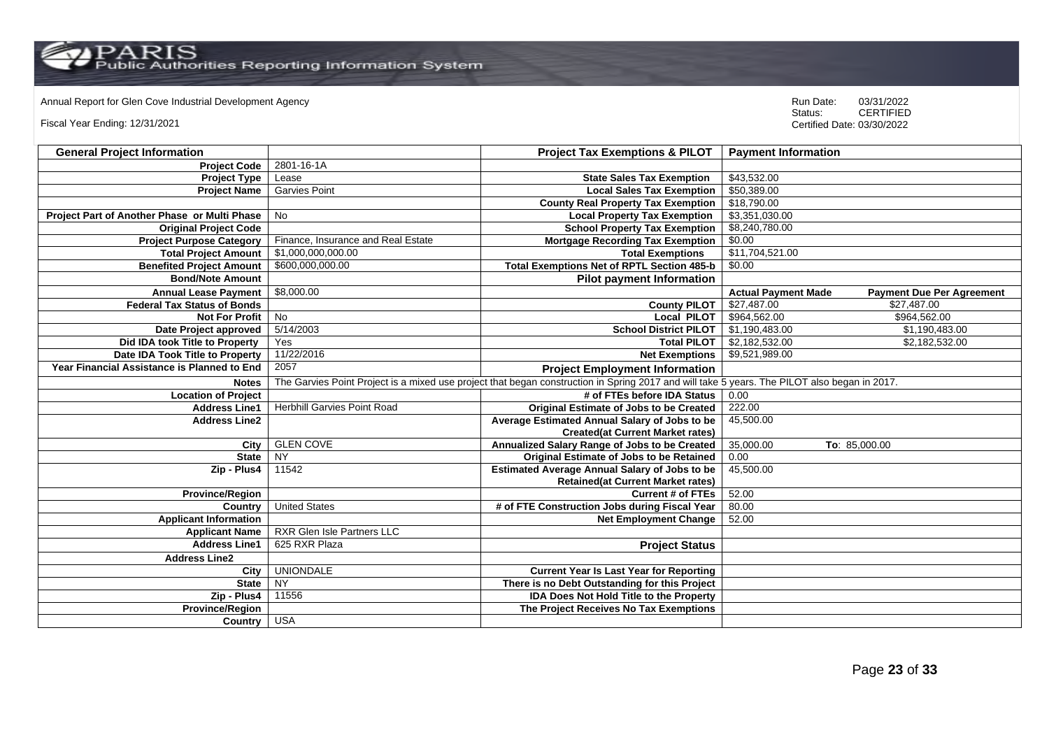Annual Report for Glen Cove Industrial Development Agency<br>
Status: CERTIFIED

Fiscal Year Ending: 12/31/2021

| <b>General Project Information</b>           |                                    | <b>Project Tax Exemptions &amp; PILOT</b>                                                                                                    | <b>Payment Information</b> |                                  |
|----------------------------------------------|------------------------------------|----------------------------------------------------------------------------------------------------------------------------------------------|----------------------------|----------------------------------|
| <b>Project Code</b>                          | $2801 - 16 - 1A$                   |                                                                                                                                              |                            |                                  |
| <b>Project Type</b>                          | Lease                              | <b>State Sales Tax Exemption</b>                                                                                                             | \$43,532.00                |                                  |
| <b>Project Name</b>                          | <b>Garvies Point</b>               | <b>Local Sales Tax Exemption</b>                                                                                                             | \$50,389.00                |                                  |
|                                              |                                    | <b>County Real Property Tax Exemption</b>                                                                                                    | \$18,790.00                |                                  |
| Project Part of Another Phase or Multi Phase | <b>No</b>                          | <b>Local Property Tax Exemption</b>                                                                                                          | \$3,351,030.00             |                                  |
| <b>Original Project Code</b>                 |                                    | <b>School Property Tax Exemption</b>                                                                                                         | \$8,240,780.00             |                                  |
| <b>Project Purpose Category</b>              | Finance, Insurance and Real Estate | <b>Mortgage Recording Tax Exemption</b>                                                                                                      | \$0.00                     |                                  |
| <b>Total Project Amount</b>                  | \$1,000,000,000.00                 | <b>Total Exemptions</b>                                                                                                                      | \$11,704,521.00            |                                  |
| <b>Benefited Project Amount</b>              | \$600,000,000.00                   | <b>Total Exemptions Net of RPTL Section 485-b</b>                                                                                            | \$0.00                     |                                  |
| <b>Bond/Note Amount</b>                      |                                    | <b>Pilot payment Information</b>                                                                                                             |                            |                                  |
| <b>Annual Lease Payment</b>                  | \$8,000.00                         |                                                                                                                                              | <b>Actual Payment Made</b> | <b>Payment Due Per Agreement</b> |
| <b>Federal Tax Status of Bonds</b>           |                                    | <b>County PILOT</b>                                                                                                                          | \$27,487.00                | \$27,487.00                      |
| <b>Not For Profit</b>                        | $\overline{N}$                     | <b>Local PILOT</b>                                                                                                                           | \$964,562.00               | \$964,562.00                     |
| Date Project approved                        | 5/14/2003                          | <b>School District PILOT</b>                                                                                                                 | \$1,190,483.00             | \$1,190,483.00                   |
| Did IDA took Title to Property               | Yes                                | <b>Total PILOT</b>                                                                                                                           | \$2,182,532.00             | \$2,182,532.00                   |
| Date IDA Took Title to Property              | 11/22/2016                         | <b>Net Exemptions</b>                                                                                                                        | \$9,521,989.00             |                                  |
| Year Financial Assistance is Planned to End  | 2057                               | <b>Project Employment Information</b>                                                                                                        |                            |                                  |
| <b>Notes</b>                                 |                                    | The Garvies Point Project is a mixed use project that began construction in Spring 2017 and will take 5 years. The PILOT also began in 2017. |                            |                                  |
| <b>Location of Project</b>                   |                                    | # of FTEs before IDA Status                                                                                                                  | 0.00                       |                                  |
| <b>Address Line1</b>                         | <b>Herbhill Garvies Point Road</b> | Original Estimate of Jobs to be Created                                                                                                      | 222.00                     |                                  |
| <b>Address Line2</b>                         |                                    | Average Estimated Annual Salary of Jobs to be                                                                                                | 45,500.00                  |                                  |
|                                              |                                    | <b>Created(at Current Market rates)</b>                                                                                                      |                            |                                  |
| City                                         | <b>GLEN COVE</b>                   | Annualized Salary Range of Jobs to be Created                                                                                                | 35,000.00                  | To: 85,000.00                    |
| <b>State</b>                                 | <b>NY</b>                          | <b>Original Estimate of Jobs to be Retained</b>                                                                                              | 0.00                       |                                  |
| Zip - Plus4                                  | 11542                              | <b>Estimated Average Annual Salary of Jobs to be</b>                                                                                         | 45,500.00                  |                                  |
|                                              |                                    | <b>Retained(at Current Market rates)</b>                                                                                                     |                            |                                  |
| <b>Province/Region</b>                       |                                    | <b>Current # of FTEs</b>                                                                                                                     | 52.00                      |                                  |
| Country                                      | <b>United States</b>               | # of FTE Construction Jobs during Fiscal Year                                                                                                | 80.00                      |                                  |
| <b>Applicant Information</b>                 |                                    | <b>Net Employment Change</b>                                                                                                                 | 52.00                      |                                  |
| <b>Applicant Name</b>                        | RXR Glen Isle Partners LLC         |                                                                                                                                              |                            |                                  |
| <b>Address Line1</b>                         | 625 RXR Plaza                      | <b>Project Status</b>                                                                                                                        |                            |                                  |
| <b>Address Line2</b>                         |                                    |                                                                                                                                              |                            |                                  |
| City                                         | <b>UNIONDALE</b>                   | <b>Current Year Is Last Year for Reporting</b>                                                                                               |                            |                                  |
| <b>State</b>                                 | NY                                 | There is no Debt Outstanding for this Project                                                                                                |                            |                                  |
| Zip - Plus4                                  | 11556                              | IDA Does Not Hold Title to the Property                                                                                                      |                            |                                  |
| <b>Province/Region</b>                       |                                    | The Project Receives No Tax Exemptions                                                                                                       |                            |                                  |
| Country                                      | <b>USA</b>                         |                                                                                                                                              |                            |                                  |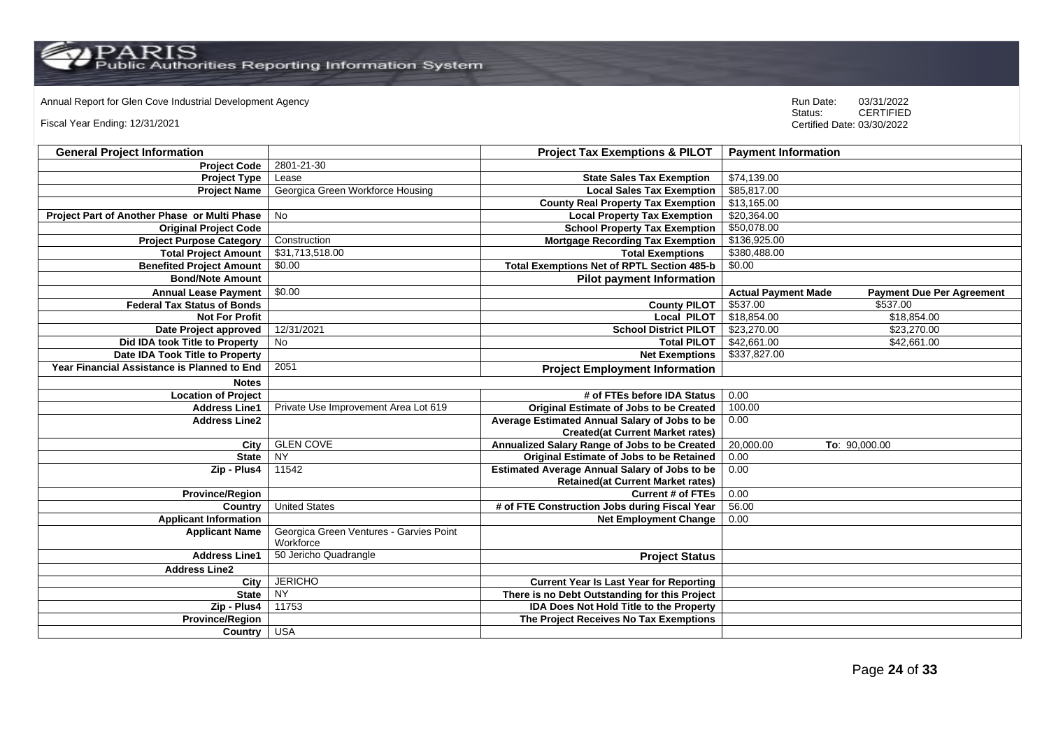# Annual Report for Glen Cove Industrial Development Agency<br>
Status: CERTIFIED

Fiscal Year Ending: 12/31/2021

| <b>General Project Information</b>                 |                                                      | <b>Project Tax Exemptions &amp; PILOT</b>            | <b>Payment Information</b> |                                  |
|----------------------------------------------------|------------------------------------------------------|------------------------------------------------------|----------------------------|----------------------------------|
| <b>Project Code</b>                                | 2801-21-30                                           |                                                      |                            |                                  |
| <b>Project Type</b>                                | Lease                                                | <b>State Sales Tax Exemption</b>                     | \$74,139.00                |                                  |
| <b>Project Name</b>                                | Georgica Green Workforce Housing                     | <b>Local Sales Tax Exemption</b>                     | \$85,817.00                |                                  |
|                                                    |                                                      | <b>County Real Property Tax Exemption</b>            | \$13,165.00                |                                  |
| Project Part of Another Phase or Multi Phase       | No                                                   | <b>Local Property Tax Exemption</b>                  | \$20,364.00                |                                  |
| <b>Original Project Code</b>                       |                                                      | <b>School Property Tax Exemption</b>                 | \$50,078.00                |                                  |
| <b>Project Purpose Category</b>                    | Construction                                         | <b>Mortgage Recording Tax Exemption</b>              | \$136,925.00               |                                  |
| <b>Total Project Amount</b>                        | \$31,713,518.00                                      | <b>Total Exemptions</b>                              | \$380,488.00               |                                  |
| <b>Benefited Project Amount</b>                    | \$0.00                                               | <b>Total Exemptions Net of RPTL Section 485-b</b>    | \$0.00                     |                                  |
| <b>Bond/Note Amount</b>                            |                                                      | <b>Pilot payment Information</b>                     |                            |                                  |
| <b>Annual Lease Payment</b>                        | \$0.00                                               |                                                      | <b>Actual Payment Made</b> | <b>Payment Due Per Agreement</b> |
| <b>Federal Tax Status of Bonds</b>                 |                                                      | <b>County PILOT</b>                                  | \$537.00                   | \$537.00                         |
| <b>Not For Profit</b>                              |                                                      | <b>Local PILOT</b>                                   | \$18,854.00                | \$18,854.00                      |
| Date Project approved                              | 12/31/2021                                           | <b>School District PILOT</b>                         | \$23,270.00                | \$23,270.00                      |
| Did IDA took Title to Property                     | No                                                   | <b>Total PILOT</b>                                   | \$42,661.00                | \$42,661.00                      |
| Date IDA Took Title to Property                    |                                                      | <b>Net Exemptions</b>                                | \$337,827.00               |                                  |
| <b>Year Financial Assistance is Planned to End</b> | 2051                                                 | <b>Project Employment Information</b>                |                            |                                  |
| <b>Notes</b>                                       |                                                      |                                                      |                            |                                  |
| <b>Location of Project</b>                         |                                                      | # of FTEs before IDA Status                          | 0.00                       |                                  |
| <b>Address Line1</b>                               | Private Use Improvement Area Lot 619                 | <b>Original Estimate of Jobs to be Created</b>       | 100.00                     |                                  |
| <b>Address Line2</b>                               |                                                      | Average Estimated Annual Salary of Jobs to be        | 0.00                       |                                  |
|                                                    |                                                      | <b>Created(at Current Market rates)</b>              |                            |                                  |
| City                                               | <b>GLEN COVE</b>                                     | Annualized Salary Range of Jobs to be Created        | 20,000.00                  | To: 90,000.00                    |
| <b>State</b>                                       | <b>NY</b>                                            | Original Estimate of Jobs to be Retained             | 0.00                       |                                  |
| Zip - Plus4                                        | 11542                                                | <b>Estimated Average Annual Salary of Jobs to be</b> | 0.00                       |                                  |
|                                                    |                                                      | <b>Retained(at Current Market rates)</b>             |                            |                                  |
| <b>Province/Region</b>                             |                                                      | <b>Current # of FTEs</b>                             | 0.00                       |                                  |
| Country                                            | <b>United States</b>                                 | # of FTE Construction Jobs during Fiscal Year        | 56.00                      |                                  |
| <b>Applicant Information</b>                       |                                                      | <b>Net Employment Change</b>                         | 0.00                       |                                  |
| <b>Applicant Name</b>                              | Georgica Green Ventures - Garvies Point<br>Workforce |                                                      |                            |                                  |
| <b>Address Line1</b>                               | 50 Jericho Quadrangle                                | <b>Project Status</b>                                |                            |                                  |
| <b>Address Line2</b>                               |                                                      |                                                      |                            |                                  |
| City                                               | <b>JERICHO</b>                                       | <b>Current Year Is Last Year for Reporting</b>       |                            |                                  |
| <b>State</b>                                       | <b>NY</b>                                            | There is no Debt Outstanding for this Project        |                            |                                  |
| Zip - Plus4                                        | 11753                                                | <b>IDA Does Not Hold Title to the Property</b>       |                            |                                  |
| <b>Province/Region</b>                             |                                                      | The Project Receives No Tax Exemptions               |                            |                                  |
| Country                                            | <b>USA</b>                                           |                                                      |                            |                                  |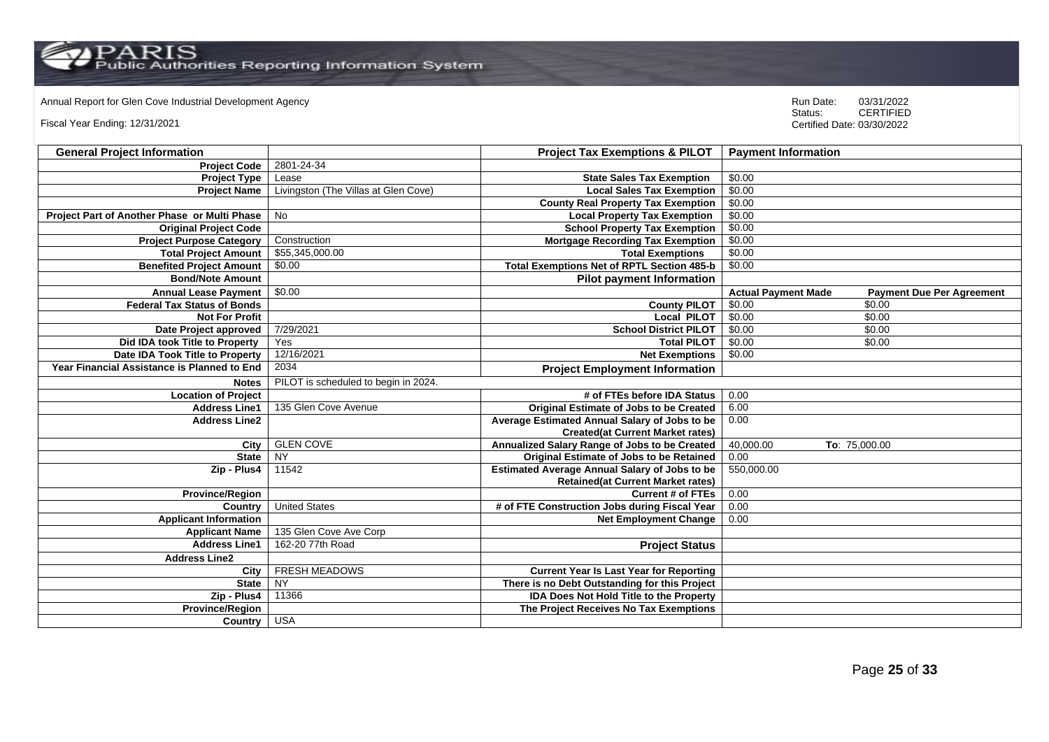# Annual Report for Glen Cove Industrial Development Agency<br>
Status: CERTIFIED

Fiscal Year Ending: 12/31/2021

| <b>General Project Information</b>                 |                                      | <b>Project Tax Exemptions &amp; PILOT</b>            | <b>Payment Information</b>                                     |
|----------------------------------------------------|--------------------------------------|------------------------------------------------------|----------------------------------------------------------------|
| <b>Project Code</b>                                | 2801-24-34                           |                                                      |                                                                |
| <b>Project Type</b>                                | Lease                                | <b>State Sales Tax Exemption</b>                     | \$0.00                                                         |
| <b>Project Name</b>                                | Livingston (The Villas at Glen Cove) | <b>Local Sales Tax Exemption</b>                     | \$0.00                                                         |
|                                                    |                                      | <b>County Real Property Tax Exemption</b>            | \$0.00                                                         |
| Project Part of Another Phase or Multi Phase       | <b>No</b>                            | <b>Local Property Tax Exemption</b>                  | \$0.00                                                         |
| <b>Original Project Code</b>                       |                                      | <b>School Property Tax Exemption</b>                 | \$0.00                                                         |
| <b>Project Purpose Category</b>                    | Construction                         | <b>Mortgage Recording Tax Exemption</b>              | \$0.00                                                         |
| <b>Total Project Amount</b>                        | \$55,345,000.00                      | <b>Total Exemptions</b>                              | \$0.00                                                         |
| <b>Benefited Project Amount</b>                    | \$0.00                               | <b>Total Exemptions Net of RPTL Section 485-b</b>    | \$0.00                                                         |
| <b>Bond/Note Amount</b>                            |                                      | <b>Pilot payment Information</b>                     |                                                                |
| <b>Annual Lease Payment</b>                        | \$0.00                               |                                                      | <b>Actual Payment Made</b><br><b>Payment Due Per Agreement</b> |
| <b>Federal Tax Status of Bonds</b>                 |                                      | <b>County PILOT</b>                                  | \$0.00<br>\$0.00                                               |
| <b>Not For Profit</b>                              |                                      | <b>Local PILOT</b>                                   | \$0.00<br>\$0.00                                               |
| Date Project approved                              | 7/29/2021                            | <b>School District PILOT</b>                         | \$0.00<br>\$0.00                                               |
| Did IDA took Title to Property                     | Yes                                  | <b>Total PILOT</b>                                   | \$0.00<br>\$0.00                                               |
| Date IDA Took Title to Property                    | 12/16/2021                           | <b>Net Exemptions</b>                                | \$0.00                                                         |
| <b>Year Financial Assistance is Planned to End</b> | 2034                                 | <b>Project Employment Information</b>                |                                                                |
| <b>Notes</b>                                       | PILOT is scheduled to begin in 2024. |                                                      |                                                                |
| <b>Location of Project</b>                         |                                      | # of FTEs before IDA Status                          | 0.00                                                           |
| <b>Address Line1</b>                               | 135 Glen Cove Avenue                 | <b>Original Estimate of Jobs to be Created</b>       | 6.00                                                           |
| <b>Address Line2</b>                               |                                      | Average Estimated Annual Salary of Jobs to be        | 0.00                                                           |
|                                                    |                                      | <b>Created(at Current Market rates)</b>              |                                                                |
| City                                               | <b>GLEN COVE</b>                     | Annualized Salary Range of Jobs to be Created        | 40,000.00<br>To: 75,000.00                                     |
| <b>State</b>                                       | <b>NY</b>                            | Original Estimate of Jobs to be Retained             | 0.00                                                           |
| Zip - Plus4                                        | 11542                                | <b>Estimated Average Annual Salary of Jobs to be</b> | 550,000.00                                                     |
|                                                    |                                      | <b>Retained(at Current Market rates)</b>             |                                                                |
| <b>Province/Region</b>                             |                                      | <b>Current # of FTEs</b>                             | 0.00                                                           |
| Country                                            | <b>United States</b>                 | # of FTE Construction Jobs during Fiscal Year        | 0.00                                                           |
| <b>Applicant Information</b>                       |                                      | <b>Net Employment Change</b>                         | 0.00                                                           |
| <b>Applicant Name</b>                              | 135 Glen Cove Ave Corp               |                                                      |                                                                |
| <b>Address Line1</b>                               | 162-20 77th Road                     | <b>Project Status</b>                                |                                                                |
| <b>Address Line2</b>                               |                                      |                                                      |                                                                |
| City                                               | FRESH MEADOWS                        | <b>Current Year Is Last Year for Reporting</b>       |                                                                |
| <b>State</b>                                       | $\overline{NY}$                      | There is no Debt Outstanding for this Project        |                                                                |
| Zip - Plus4                                        | 11366                                | <b>IDA Does Not Hold Title to the Property</b>       |                                                                |
| <b>Province/Region</b>                             |                                      | The Project Receives No Tax Exemptions               |                                                                |
| <b>Country</b>                                     | <b>USA</b>                           |                                                      |                                                                |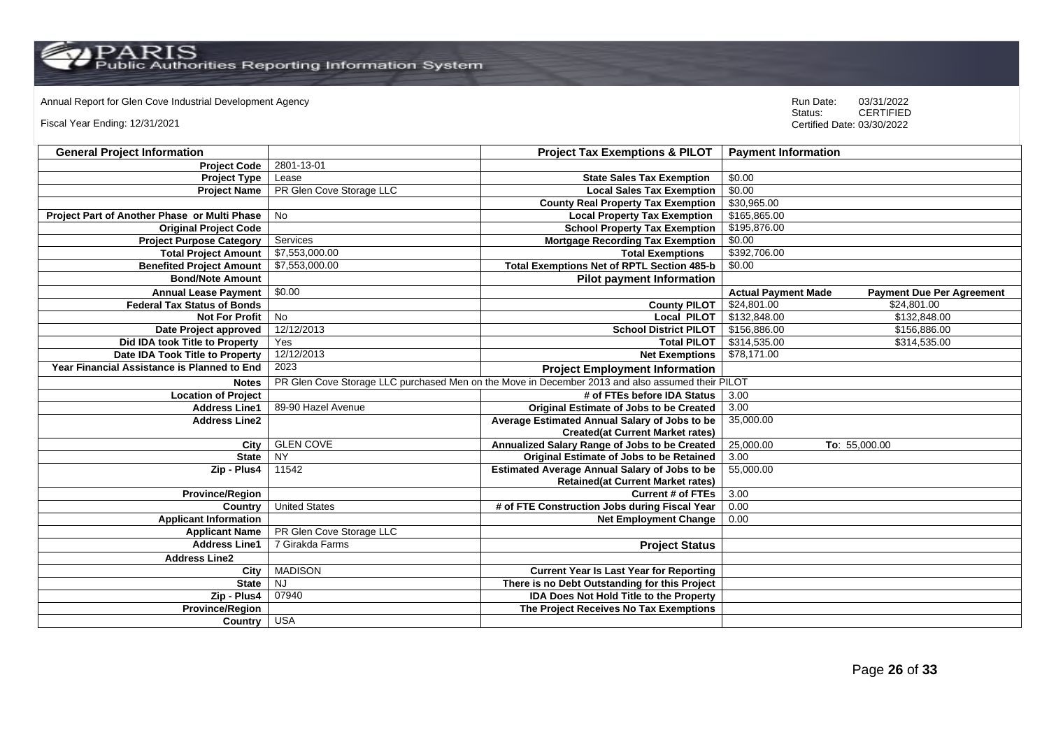# Annual Report for Glen Cove Industrial Development Agency<br>
Status: CERTIFIED

Fiscal Year Ending: 12/31/2021

| <b>General Project Information</b>           |                          | <b>Project Tax Exemptions &amp; PILOT</b>                                                        | <b>Payment Information</b>                                     |
|----------------------------------------------|--------------------------|--------------------------------------------------------------------------------------------------|----------------------------------------------------------------|
| <b>Project Code</b>                          | 2801-13-01               |                                                                                                  |                                                                |
| <b>Project Type</b>                          | Lease                    | <b>State Sales Tax Exemption</b>                                                                 | \$0.00                                                         |
| <b>Project Name</b>                          | PR Glen Cove Storage LLC | <b>Local Sales Tax Exemption</b>                                                                 | \$0.00                                                         |
|                                              |                          | <b>County Real Property Tax Exemption</b>                                                        | \$30,965.00                                                    |
| Project Part of Another Phase or Multi Phase | No                       | <b>Local Property Tax Exemption</b>                                                              | \$165,865.00                                                   |
| <b>Original Project Code</b>                 |                          | <b>School Property Tax Exemption</b>                                                             | \$195,876.00                                                   |
| <b>Project Purpose Category</b>              | Services                 | <b>Mortgage Recording Tax Exemption</b>                                                          | \$0.00                                                         |
| <b>Total Project Amount</b>                  | \$7,553,000.00           | <b>Total Exemptions</b>                                                                          | \$392,706.00                                                   |
| <b>Benefited Project Amount</b>              | \$7,553,000.00           | <b>Total Exemptions Net of RPTL Section 485-b</b>                                                | \$0.00                                                         |
| <b>Bond/Note Amount</b>                      |                          | <b>Pilot payment Information</b>                                                                 |                                                                |
| <b>Annual Lease Payment</b>                  | \$0.00                   |                                                                                                  | <b>Actual Payment Made</b><br><b>Payment Due Per Agreement</b> |
| <b>Federal Tax Status of Bonds</b>           |                          | <b>County PILOT</b>                                                                              | \$24,801.00<br>\$24,801.00                                     |
| <b>Not For Profit</b>                        | $\overline{N}$           | <b>Local PILOT</b>                                                                               | \$132,848.00<br>\$132,848.00                                   |
| Date Project approved                        | 12/12/2013               | <b>School District PILOT</b>                                                                     | \$156,886.00<br>\$156,886.00                                   |
| Did IDA took Title to Property               | Yes                      | <b>Total PILOT</b>                                                                               | \$314,535.00<br>\$314,535.00                                   |
| Date IDA Took Title to Property              | 12/12/2013               | <b>Net Exemptions</b>                                                                            | \$78,171.00                                                    |
| Year Financial Assistance is Planned to End  | 2023                     | <b>Project Employment Information</b>                                                            |                                                                |
| <b>Notes</b>                                 |                          | PR Glen Cove Storage LLC purchased Men on the Move in December 2013 and also assumed their PILOT |                                                                |
| <b>Location of Project</b>                   |                          | # of FTEs before IDA Status                                                                      | 3.00                                                           |
| <b>Address Line1</b>                         | 89-90 Hazel Avenue       | Original Estimate of Jobs to be Created                                                          | 3.00                                                           |
| <b>Address Line2</b>                         |                          | Average Estimated Annual Salary of Jobs to be                                                    | 35,000.00                                                      |
|                                              |                          | <b>Created(at Current Market rates)</b>                                                          |                                                                |
| City                                         | <b>GLEN COVE</b>         | Annualized Salary Range of Jobs to be Created                                                    | 25,000.00<br>To: 55,000.00                                     |
| <b>State</b>                                 | <b>NY</b>                | <b>Original Estimate of Jobs to be Retained</b>                                                  | 3.00                                                           |
| Zip - Plus4                                  | 11542                    | <b>Estimated Average Annual Salary of Jobs to be</b>                                             | 55,000.00                                                      |
|                                              |                          | <b>Retained(at Current Market rates)</b>                                                         |                                                                |
| <b>Province/Region</b>                       |                          | <b>Current # of FTEs</b>                                                                         | 3.00                                                           |
| Country                                      | <b>United States</b>     | # of FTE Construction Jobs during Fiscal Year                                                    | 0.00                                                           |
| <b>Applicant Information</b>                 |                          | <b>Net Employment Change</b>                                                                     | 0.00                                                           |
| <b>Applicant Name</b>                        | PR Glen Cove Storage LLC |                                                                                                  |                                                                |
| <b>Address Line1</b>                         | 7 Girakda Farms          | <b>Project Status</b>                                                                            |                                                                |
| <b>Address Line2</b>                         |                          |                                                                                                  |                                                                |
| City                                         | <b>MADISON</b>           | <b>Current Year Is Last Year for Reporting</b>                                                   |                                                                |
| <b>State</b>                                 | <b>NJ</b>                | There is no Debt Outstanding for this Project                                                    |                                                                |
| Zip - Plus4                                  | 07940                    | <b>IDA Does Not Hold Title to the Property</b>                                                   |                                                                |
| <b>Province/Region</b>                       |                          | The Project Receives No Tax Exemptions                                                           |                                                                |
| Country                                      | <b>USA</b>               |                                                                                                  |                                                                |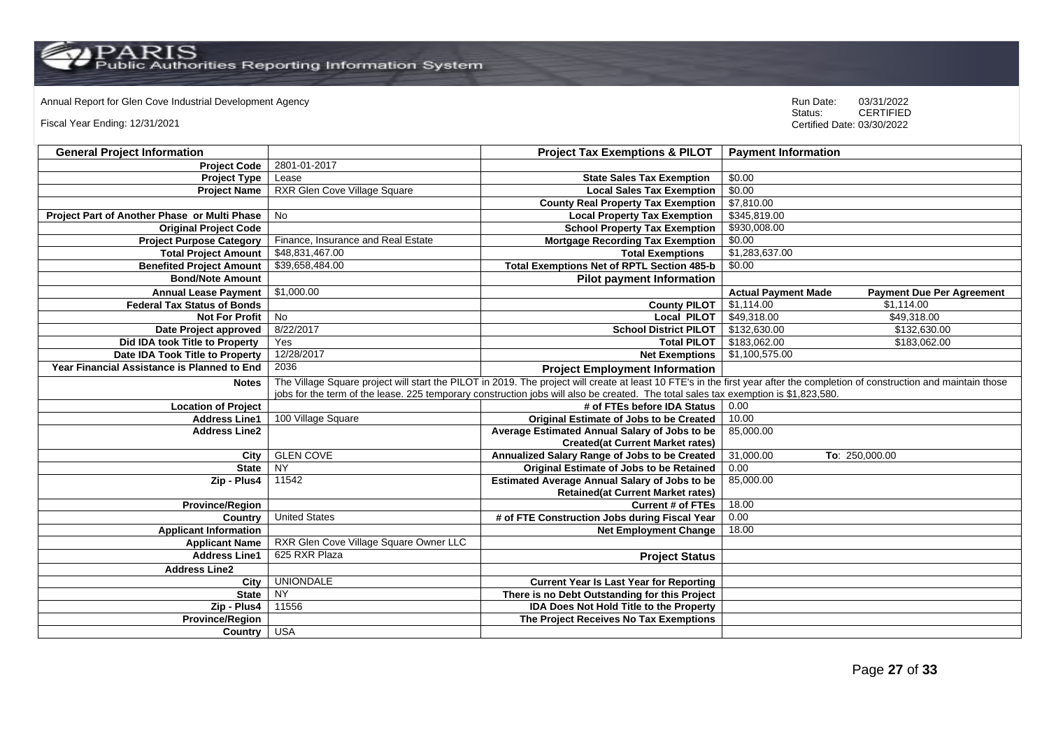PARIS<br>Public Authorities Reporting Information System

# Annual Report for Glen Cove Industrial Development Agency<br>
Status: CERTIFIED

Fiscal Year Ending: 12/31/2021

| <b>General Project Information</b>           |                                                                                                                                                                              | <b>Project Tax Exemptions &amp; PILOT</b>            | <b>Payment Information</b> |                                  |
|----------------------------------------------|------------------------------------------------------------------------------------------------------------------------------------------------------------------------------|------------------------------------------------------|----------------------------|----------------------------------|
| <b>Project Code</b>                          | 2801-01-2017                                                                                                                                                                 |                                                      |                            |                                  |
| <b>Project Type</b>                          | Lease                                                                                                                                                                        | <b>State Sales Tax Exemption</b>                     | \$0.00                     |                                  |
| <b>Project Name</b>                          | RXR Glen Cove Village Square                                                                                                                                                 | <b>Local Sales Tax Exemption</b>                     | \$0.00                     |                                  |
|                                              |                                                                                                                                                                              | <b>County Real Property Tax Exemption</b>            | \$7,810.00                 |                                  |
| Project Part of Another Phase or Multi Phase | No                                                                                                                                                                           | <b>Local Property Tax Exemption</b>                  | \$345,819.00               |                                  |
| <b>Original Project Code</b>                 |                                                                                                                                                                              | <b>School Property Tax Exemption</b>                 | \$930,008.00               |                                  |
| <b>Project Purpose Category</b>              | Finance, Insurance and Real Estate                                                                                                                                           | <b>Mortgage Recording Tax Exemption</b>              | \$0.00                     |                                  |
| <b>Total Project Amount</b>                  | \$48,831,467.00                                                                                                                                                              | <b>Total Exemptions</b>                              | \$1,283,637.00             |                                  |
| <b>Benefited Project Amount</b>              | \$39,658,484.00                                                                                                                                                              | Total Exemptions Net of RPTL Section 485-b           | \$0.00                     |                                  |
| <b>Bond/Note Amount</b>                      |                                                                                                                                                                              | <b>Pilot payment Information</b>                     |                            |                                  |
| <b>Annual Lease Payment</b>                  | \$1,000.00                                                                                                                                                                   |                                                      | <b>Actual Payment Made</b> | <b>Payment Due Per Agreement</b> |
| <b>Federal Tax Status of Bonds</b>           |                                                                                                                                                                              | <b>County PILOT</b>                                  | \$1,114.00                 | \$1.114.00                       |
| <b>Not For Profit</b>                        | No                                                                                                                                                                           | <b>Local PILOT</b>                                   | \$49,318.00                | \$49,318.00                      |
| Date Project approved                        | 8/22/2017                                                                                                                                                                    | <b>School District PILOT</b>                         | \$132,630.00               | \$132,630.00                     |
| Did IDA took Title to Property               | Yes                                                                                                                                                                          | <b>Total PILOT</b>                                   | \$183,062.00               | \$183,062.00                     |
| Date IDA Took Title to Property              | 12/28/2017                                                                                                                                                                   | <b>Net Exemptions</b>                                | \$1,100,575.00             |                                  |
| Year Financial Assistance is Planned to End  | 2036                                                                                                                                                                         | <b>Project Employment Information</b>                |                            |                                  |
| <b>Notes</b>                                 | The Village Square project will start the PILOT in 2019. The project will create at least 10 FTE's in the first year after the completion of construction and maintain those |                                                      |                            |                                  |
|                                              | jobs for the term of the lease. 225 temporary construction jobs will also be created. The total sales tax exemption is \$1,823,580.                                          |                                                      |                            |                                  |
| <b>Location of Project</b>                   |                                                                                                                                                                              | # of FTEs before IDA Status                          | 0.00                       |                                  |
| <b>Address Line1</b>                         | 100 Village Square                                                                                                                                                           | <b>Original Estimate of Jobs to be Created</b>       | 10.00                      |                                  |
| <b>Address Line2</b>                         |                                                                                                                                                                              | Average Estimated Annual Salary of Jobs to be        | 85,000.00                  |                                  |
|                                              |                                                                                                                                                                              | <b>Created(at Current Market rates)</b>              |                            |                                  |
| City                                         | <b>GLEN COVE</b>                                                                                                                                                             | Annualized Salary Range of Jobs to be Created        | 31,000.00                  | To: 250,000.00                   |
| <b>State</b>                                 | NY                                                                                                                                                                           | <b>Original Estimate of Jobs to be Retained</b>      | 0.00                       |                                  |
| Zip - Plus4                                  | 11542                                                                                                                                                                        | <b>Estimated Average Annual Salary of Jobs to be</b> | 85,000.00                  |                                  |
|                                              |                                                                                                                                                                              | <b>Retained(at Current Market rates)</b>             |                            |                                  |
| <b>Province/Region</b>                       |                                                                                                                                                                              | <b>Current # of FTEs</b>                             | 18.00                      |                                  |
| Country                                      | <b>United States</b>                                                                                                                                                         | # of FTE Construction Jobs during Fiscal Year        | 0.00                       |                                  |
| <b>Applicant Information</b>                 |                                                                                                                                                                              | <b>Net Employment Change</b>                         | 18.00                      |                                  |
| <b>Applicant Name</b>                        | RXR Glen Cove Village Square Owner LLC                                                                                                                                       |                                                      |                            |                                  |
| <b>Address Line1</b>                         | 625 RXR Plaza                                                                                                                                                                | <b>Project Status</b>                                |                            |                                  |
| <b>Address Line2</b>                         |                                                                                                                                                                              |                                                      |                            |                                  |
| City                                         | <b>UNIONDALE</b>                                                                                                                                                             | <b>Current Year Is Last Year for Reporting</b>       |                            |                                  |
| <b>State</b>                                 | <b>NY</b>                                                                                                                                                                    | There is no Debt Outstanding for this Project        |                            |                                  |
| Zip - Plus4                                  | 11556                                                                                                                                                                        | <b>IDA Does Not Hold Title to the Property</b>       |                            |                                  |
| <b>Province/Region</b>                       |                                                                                                                                                                              | The Project Receives No Tax Exemptions               |                            |                                  |
| Country USA                                  |                                                                                                                                                                              |                                                      |                            |                                  |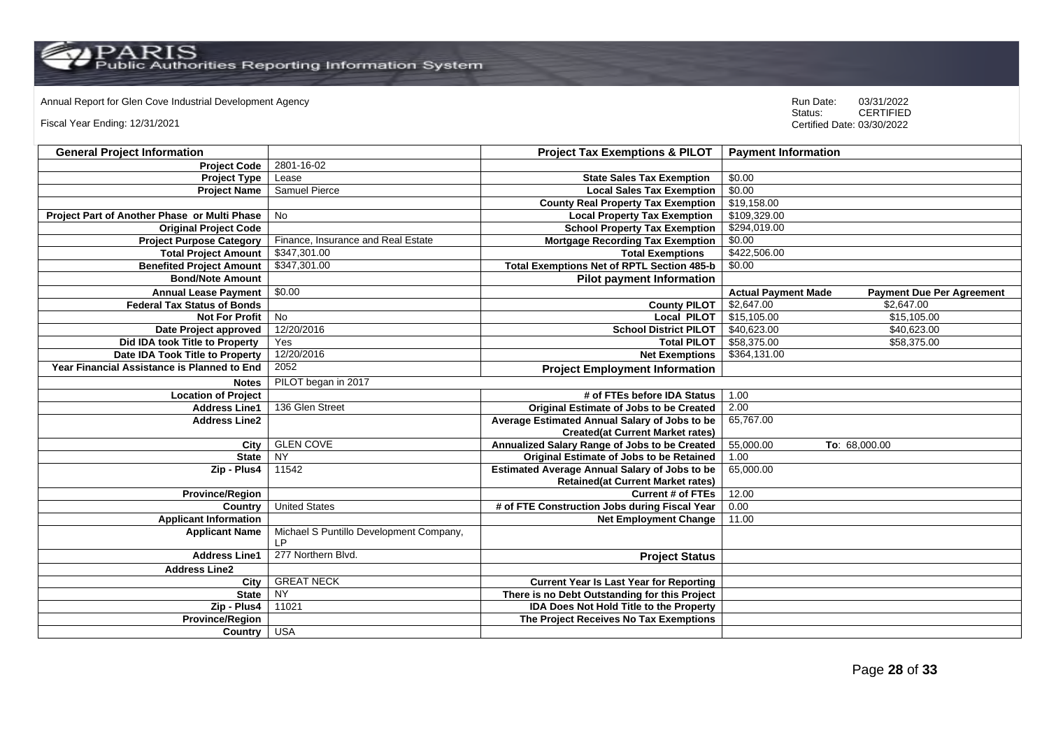Annual Report for Glen Cove Industrial Development Agency<br>
Status: CERTIFIED

Fiscal Year Ending: 12/31/2021

| <b>General Project Information</b>           |                                                           | <b>Project Tax Exemptions &amp; PILOT</b>            | <b>Payment Information</b>                                     |
|----------------------------------------------|-----------------------------------------------------------|------------------------------------------------------|----------------------------------------------------------------|
| <b>Project Code</b>                          | 2801-16-02                                                |                                                      |                                                                |
| <b>Project Type</b>                          | Lease                                                     | <b>State Sales Tax Exemption</b>                     | \$0.00                                                         |
| <b>Project Name</b>                          | <b>Samuel Pierce</b>                                      | <b>Local Sales Tax Exemption</b>                     | \$0.00                                                         |
|                                              |                                                           | <b>County Real Property Tax Exemption</b>            | \$19,158.00                                                    |
| Project Part of Another Phase or Multi Phase | No                                                        | <b>Local Property Tax Exemption</b>                  | \$109,329.00                                                   |
| <b>Original Project Code</b>                 |                                                           | <b>School Property Tax Exemption</b>                 | \$294,019.00                                                   |
| <b>Project Purpose Category</b>              | Finance, Insurance and Real Estate                        | <b>Mortgage Recording Tax Exemption</b>              | \$0.00                                                         |
| <b>Total Project Amount</b>                  | \$347,301.00                                              | <b>Total Exemptions</b>                              | \$422,506.00                                                   |
| <b>Benefited Project Amount</b>              | \$347,301.00                                              | <b>Total Exemptions Net of RPTL Section 485-b</b>    | \$0.00                                                         |
| <b>Bond/Note Amount</b>                      |                                                           | <b>Pilot payment Information</b>                     |                                                                |
| <b>Annual Lease Payment</b>                  | \$0.00                                                    |                                                      | <b>Actual Payment Made</b><br><b>Payment Due Per Agreement</b> |
| <b>Federal Tax Status of Bonds</b>           |                                                           | <b>County PILOT</b>                                  | \$2.647.00<br>\$2.647.00                                       |
| <b>Not For Profit</b>                        | No                                                        | <b>Local PILOT</b>                                   | \$15,105.00<br>\$15,105.00                                     |
| Date Project approved                        | 12/20/2016                                                | <b>School District PILOT</b>                         | \$40,623.00<br>\$40,623.00                                     |
| Did IDA took Title to Property               | Yes                                                       | <b>Total PILOT</b>                                   | \$58,375.00<br>\$58,375.00                                     |
| Date IDA Took Title to Property              | 12/20/2016                                                | <b>Net Exemptions</b>                                | \$364,131.00                                                   |
| Year Financial Assistance is Planned to End  | 2052                                                      | <b>Project Employment Information</b>                |                                                                |
| <b>Notes</b>                                 | PILOT began in 2017                                       |                                                      |                                                                |
| <b>Location of Project</b>                   |                                                           | # of FTEs before IDA Status                          | 1.00                                                           |
| <b>Address Line1</b>                         | 136 Glen Street                                           | Original Estimate of Jobs to be Created              | 2.00                                                           |
| <b>Address Line2</b>                         |                                                           | Average Estimated Annual Salary of Jobs to be        | 65,767.00                                                      |
|                                              |                                                           | <b>Created(at Current Market rates)</b>              |                                                                |
| City                                         | <b>GLEN COVE</b>                                          | Annualized Salary Range of Jobs to be Created        | 55,000.00<br>To: 68,000.00                                     |
| <b>State</b>                                 | <b>NY</b>                                                 | Original Estimate of Jobs to be Retained             | 1.00                                                           |
| Zip - Plus4                                  | 11542                                                     | <b>Estimated Average Annual Salary of Jobs to be</b> | 65,000.00                                                      |
|                                              |                                                           | <b>Retained(at Current Market rates)</b>             |                                                                |
| <b>Province/Region</b>                       |                                                           | <b>Current # of FTEs</b>                             | 12.00                                                          |
| Country                                      | <b>United States</b>                                      | # of FTE Construction Jobs during Fiscal Year        | 0.00                                                           |
| <b>Applicant Information</b>                 |                                                           | <b>Net Employment Change</b>                         | 11.00                                                          |
| <b>Applicant Name</b>                        | Michael S Puntillo Development Company,<br>$\mathsf{I}$ P |                                                      |                                                                |
| <b>Address Line1</b>                         | 277 Northern Blvd.                                        | <b>Project Status</b>                                |                                                                |
| <b>Address Line2</b>                         |                                                           |                                                      |                                                                |
| City                                         | <b>GREAT NECK</b>                                         | <b>Current Year Is Last Year for Reporting</b>       |                                                                |
| <b>State</b>                                 | <b>NY</b>                                                 | There is no Debt Outstanding for this Project        |                                                                |
| Zip - Plus4                                  | 11021                                                     | <b>IDA Does Not Hold Title to the Property</b>       |                                                                |
| <b>Province/Region</b>                       |                                                           | The Project Receives No Tax Exemptions               |                                                                |
| Country USA                                  |                                                           |                                                      |                                                                |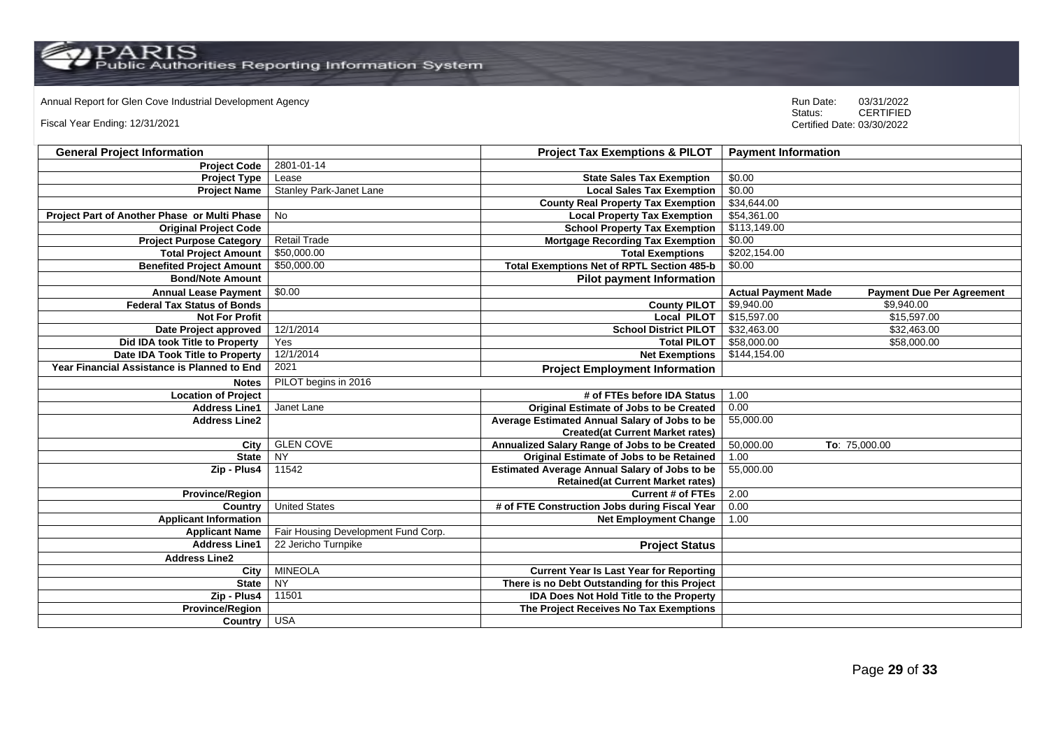Annual Report for Glen Cove Industrial Development Agency<br>
Status: CERTIFIED

Fiscal Year Ending: 12/31/2021

| <b>General Project Information</b>           |                                     | <b>Project Tax Exemptions &amp; PILOT</b>            | <b>Payment Information</b>                                     |
|----------------------------------------------|-------------------------------------|------------------------------------------------------|----------------------------------------------------------------|
| <b>Project Code</b>                          | 2801-01-14                          |                                                      |                                                                |
| <b>Project Type</b>                          | Lease                               | <b>State Sales Tax Exemption</b>                     | \$0.00                                                         |
| <b>Project Name</b>                          | <b>Stanley Park-Janet Lane</b>      | <b>Local Sales Tax Exemption</b>                     | \$0.00                                                         |
|                                              |                                     | <b>County Real Property Tax Exemption</b>            | \$34,644.00                                                    |
| Project Part of Another Phase or Multi Phase | No                                  | <b>Local Property Tax Exemption</b>                  | \$54,361.00                                                    |
| <b>Original Project Code</b>                 |                                     | <b>School Property Tax Exemption</b>                 | \$113,149.00                                                   |
| <b>Project Purpose Category</b>              | <b>Retail Trade</b>                 | <b>Mortgage Recording Tax Exemption</b>              | \$0.00                                                         |
| <b>Total Project Amount</b>                  | \$50,000.00                         | <b>Total Exemptions</b>                              | \$202,154.00                                                   |
| <b>Benefited Project Amount</b>              | \$50,000.00                         | <b>Total Exemptions Net of RPTL Section 485-b</b>    | \$0.00                                                         |
| <b>Bond/Note Amount</b>                      |                                     | <b>Pilot payment Information</b>                     |                                                                |
| <b>Annual Lease Payment</b>                  | \$0.00                              |                                                      | <b>Actual Payment Made</b><br><b>Payment Due Per Agreement</b> |
| <b>Federal Tax Status of Bonds</b>           |                                     | <b>County PILOT</b>                                  | \$9,940.00<br>\$9,940.00                                       |
| <b>Not For Profit</b>                        |                                     | <b>Local PILOT</b>                                   | \$15,597.00<br>\$15,597.00                                     |
| Date Project approved                        | 12/1/2014                           | <b>School District PILOT</b>                         | \$32,463.00<br>\$32,463.00                                     |
| Did IDA took Title to Property               | Yes                                 | <b>Total PILOT</b>                                   | \$58,000.00<br>\$58,000.00                                     |
| Date IDA Took Title to Property              | 12/1/2014                           | <b>Net Exemptions</b>                                | \$144,154.00                                                   |
| Year Financial Assistance is Planned to End  | 2021                                | <b>Project Employment Information</b>                |                                                                |
| <b>Notes</b>                                 | PILOT begins in 2016                |                                                      |                                                                |
| <b>Location of Project</b>                   |                                     | # of FTEs before IDA Status                          | 1.00                                                           |
| <b>Address Line1</b>                         | Janet Lane                          | <b>Original Estimate of Jobs to be Created</b>       | 0.00                                                           |
| <b>Address Line2</b>                         |                                     | Average Estimated Annual Salary of Jobs to be        | 55,000.00                                                      |
|                                              |                                     | <b>Created(at Current Market rates)</b>              |                                                                |
| City                                         | <b>GLEN COVE</b>                    | Annualized Salary Range of Jobs to be Created        | 50,000.00<br>To: 75,000.00                                     |
| <b>State</b>                                 | <b>NY</b>                           | <b>Original Estimate of Jobs to be Retained</b>      | 1.00                                                           |
| Zip - Plus4                                  | 11542                               | <b>Estimated Average Annual Salary of Jobs to be</b> | 55,000.00                                                      |
|                                              |                                     | <b>Retained(at Current Market rates)</b>             |                                                                |
| <b>Province/Region</b>                       |                                     | <b>Current # of FTEs</b>                             | 2.00                                                           |
| Country                                      | <b>United States</b>                | # of FTE Construction Jobs during Fiscal Year        | 0.00                                                           |
| <b>Applicant Information</b>                 |                                     | <b>Net Employment Change</b>                         | 1.00                                                           |
| <b>Applicant Name</b>                        | Fair Housing Development Fund Corp. |                                                      |                                                                |
| <b>Address Line1</b>                         | 22 Jericho Turnpike                 | <b>Project Status</b>                                |                                                                |
| <b>Address Line2</b>                         |                                     |                                                      |                                                                |
| City                                         | <b>MINEOLA</b>                      | <b>Current Year Is Last Year for Reporting</b>       |                                                                |
| <b>State</b>                                 | $\overline{NY}$                     | There is no Debt Outstanding for this Project        |                                                                |
| Zip - Plus4                                  | 11501                               | <b>IDA Does Not Hold Title to the Property</b>       |                                                                |
| <b>Province/Region</b>                       |                                     | The Project Receives No Tax Exemptions               |                                                                |
| Country USA                                  |                                     |                                                      |                                                                |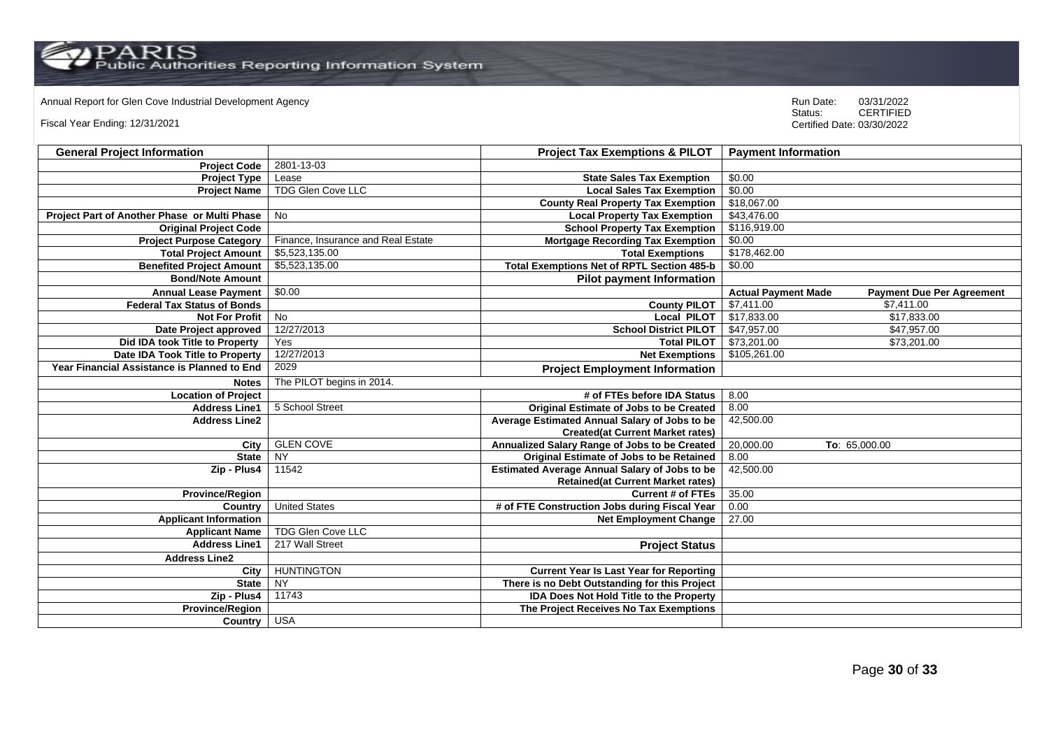Annual Report for Glen Cove Industrial Development Agency<br>
Status: CERTIFIED

Fiscal Year Ending: 12/31/2021

| <b>General Project Information</b>           |                                    | <b>Project Tax Exemptions &amp; PILOT</b>            | <b>Payment Information</b>                                     |
|----------------------------------------------|------------------------------------|------------------------------------------------------|----------------------------------------------------------------|
| <b>Project Code</b>                          | 2801-13-03                         |                                                      |                                                                |
| <b>Project Type</b>                          | Lease                              | <b>State Sales Tax Exemption</b>                     | \$0.00                                                         |
| <b>Project Name</b>                          | TDG Glen Cove LLC                  | <b>Local Sales Tax Exemption</b>                     | \$0.00                                                         |
|                                              |                                    | <b>County Real Property Tax Exemption</b>            | \$18,067.00                                                    |
| Project Part of Another Phase or Multi Phase | No                                 | <b>Local Property Tax Exemption</b>                  | \$43,476.00                                                    |
| <b>Original Project Code</b>                 |                                    | <b>School Property Tax Exemption</b>                 | \$116,919.00                                                   |
| <b>Project Purpose Category</b>              | Finance, Insurance and Real Estate | <b>Mortgage Recording Tax Exemption</b>              | \$0.00                                                         |
| <b>Total Project Amount</b>                  | \$5,523,135.00                     | <b>Total Exemptions</b>                              | \$178,462.00                                                   |
| <b>Benefited Project Amount</b>              | \$5,523,135.00                     | Total Exemptions Net of RPTL Section 485-b           | \$0.00                                                         |
| <b>Bond/Note Amount</b>                      |                                    | <b>Pilot payment Information</b>                     |                                                                |
| <b>Annual Lease Payment</b>                  | \$0.00                             |                                                      | <b>Actual Payment Made</b><br><b>Payment Due Per Agreement</b> |
| <b>Federal Tax Status of Bonds</b>           |                                    | <b>County PILOT</b>                                  | \$7,411.00<br>\$7,411.00                                       |
| <b>Not For Profit</b>                        | No                                 | <b>Local PILOT</b>                                   | \$17,833.00<br>\$17,833.00                                     |
| Date Project approved                        | 12/27/2013                         | <b>School District PILOT</b>                         | \$47,957.00<br>\$47,957.00                                     |
| Did IDA took Title to Property               | Yes                                | <b>Total PILOT</b>                                   | \$73,201.00<br>\$73,201.00                                     |
| Date IDA Took Title to Property              | 12/27/2013                         | <b>Net Exemptions</b>                                | \$105,261.00                                                   |
| Year Financial Assistance is Planned to End  | 2029                               | <b>Project Employment Information</b>                |                                                                |
| <b>Notes</b>                                 | The PILOT begins in 2014.          |                                                      |                                                                |
| <b>Location of Project</b>                   |                                    | # of FTEs before IDA Status                          | 8.00                                                           |
| <b>Address Line1</b>                         | 5 School Street                    | <b>Original Estimate of Jobs to be Created</b>       | 8.00                                                           |
| <b>Address Line2</b>                         |                                    | Average Estimated Annual Salary of Jobs to be        | 42,500.00                                                      |
|                                              |                                    | <b>Created(at Current Market rates)</b>              |                                                                |
| City                                         | <b>GLEN COVE</b>                   | Annualized Salary Range of Jobs to be Created        | 20,000.00<br>To: 65,000.00                                     |
| <b>State</b>                                 | <b>NY</b>                          | Original Estimate of Jobs to be Retained             | 8.00                                                           |
| Zip - Plus4                                  | 11542                              | <b>Estimated Average Annual Salary of Jobs to be</b> | 42,500.00                                                      |
|                                              |                                    | <b>Retained(at Current Market rates)</b>             |                                                                |
| <b>Province/Region</b>                       |                                    | <b>Current # of FTEs</b>                             | 35.00                                                          |
| Country                                      | <b>United States</b>               | # of FTE Construction Jobs during Fiscal Year        | 0.00                                                           |
| <b>Applicant Information</b>                 |                                    | <b>Net Employment Change</b>                         | 27.00                                                          |
| <b>Applicant Name</b>                        | TDG Glen Cove LLC                  |                                                      |                                                                |
| <b>Address Line1</b>                         | 217 Wall Street                    | <b>Project Status</b>                                |                                                                |
| <b>Address Line2</b>                         |                                    |                                                      |                                                                |
| City                                         | <b>HUNTINGTON</b>                  | <b>Current Year Is Last Year for Reporting</b>       |                                                                |
| <b>State</b>                                 | $\overline{NY}$                    | There is no Debt Outstanding for this Project        |                                                                |
| Zip - Plus4                                  | 11743                              | <b>IDA Does Not Hold Title to the Property</b>       |                                                                |
| <b>Province/Region</b>                       |                                    | The Project Receives No Tax Exemptions               |                                                                |
| Country                                      | <b>USA</b>                         |                                                      |                                                                |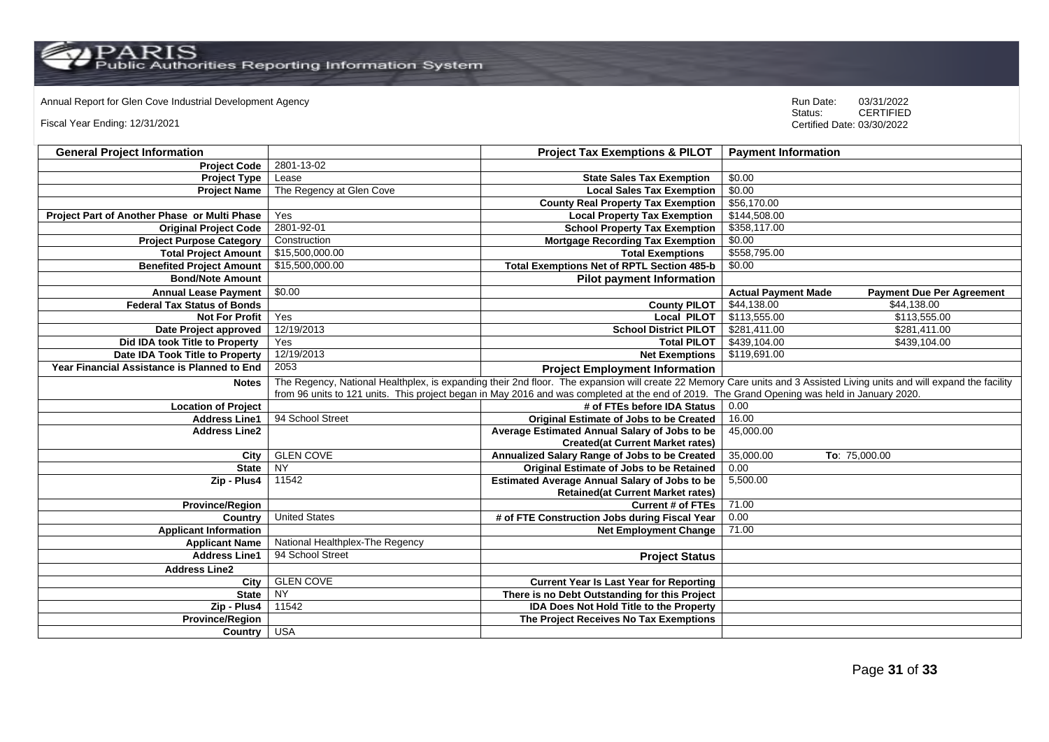PARIS<br>Public Authorities Reporting Information System

# Annual Report for Glen Cove Industrial Development Agency<br>
Status: CERTIFIED

Fiscal Year Ending: 12/31/2021

| <b>General Project Information</b>           |                                                                                                                                                                         | <b>Project Tax Exemptions &amp; PILOT</b>            | <b>Payment Information</b>                                     |  |
|----------------------------------------------|-------------------------------------------------------------------------------------------------------------------------------------------------------------------------|------------------------------------------------------|----------------------------------------------------------------|--|
| <b>Project Code</b>                          | 2801-13-02                                                                                                                                                              |                                                      |                                                                |  |
| <b>Project Type</b>                          | Lease                                                                                                                                                                   | <b>State Sales Tax Exemption</b>                     | \$0.00                                                         |  |
| <b>Project Name</b>                          | The Regency at Glen Cove                                                                                                                                                | <b>Local Sales Tax Exemption</b>                     | \$0.00                                                         |  |
|                                              |                                                                                                                                                                         | <b>County Real Property Tax Exemption</b>            | \$56,170.00                                                    |  |
| Project Part of Another Phase or Multi Phase | Yes                                                                                                                                                                     | <b>Local Property Tax Exemption</b>                  | \$144,508.00                                                   |  |
| <b>Original Project Code</b>                 | 2801-92-01                                                                                                                                                              | <b>School Property Tax Exemption</b>                 | \$358,117.00                                                   |  |
| <b>Project Purpose Category</b>              | Construction                                                                                                                                                            | <b>Mortgage Recording Tax Exemption</b>              | \$0.00                                                         |  |
| <b>Total Project Amount</b>                  | \$15,500,000.00                                                                                                                                                         | <b>Total Exemptions</b>                              | \$558,795.00                                                   |  |
| <b>Benefited Project Amount</b>              | \$15,500,000.00                                                                                                                                                         | <b>Total Exemptions Net of RPTL Section 485-b</b>    | \$0.00                                                         |  |
| <b>Bond/Note Amount</b>                      |                                                                                                                                                                         | <b>Pilot payment Information</b>                     |                                                                |  |
| <b>Annual Lease Payment</b>                  | \$0.00                                                                                                                                                                  |                                                      | <b>Actual Payment Made</b><br><b>Payment Due Per Agreement</b> |  |
| <b>Federal Tax Status of Bonds</b>           |                                                                                                                                                                         | <b>County PILOT</b>                                  | \$44,138,00<br>\$44,138.00                                     |  |
| <b>Not For Profit</b>                        | Yes                                                                                                                                                                     | <b>Local PILOT</b>                                   | \$113,555.00<br>\$113,555.00                                   |  |
| Date Project approved                        | 12/19/2013                                                                                                                                                              | <b>School District PILOT</b>                         | \$281,411.00<br>\$281,411.00                                   |  |
| Did IDA took Title to Property               | Yes                                                                                                                                                                     | <b>Total PILOT</b>                                   | \$439,104.00<br>\$439,104.00                                   |  |
| Date IDA Took Title to Property              | 12/19/2013                                                                                                                                                              | <b>Net Exemptions</b>                                | \$119,691.00                                                   |  |
| Year Financial Assistance is Planned to End  | 2053                                                                                                                                                                    | <b>Project Employment Information</b>                |                                                                |  |
| <b>Notes</b>                                 | The Regency, National Healthplex, is expanding their 2nd floor. The expansion will create 22 Memory Care units and 3 Assisted Living units and will expand the facility |                                                      |                                                                |  |
|                                              | from 96 units to 121 units. This project began in May 2016 and was completed at the end of 2019. The Grand Opening was held in January 2020.                            |                                                      |                                                                |  |
| <b>Location of Project</b>                   |                                                                                                                                                                         | # of FTEs before IDA Status                          | 0.00                                                           |  |
| <b>Address Line1</b>                         | 94 School Street                                                                                                                                                        | <b>Original Estimate of Jobs to be Created</b>       | 16.00                                                          |  |
| <b>Address Line2</b>                         |                                                                                                                                                                         | Average Estimated Annual Salary of Jobs to be        | 45,000.00                                                      |  |
|                                              |                                                                                                                                                                         | <b>Created(at Current Market rates)</b>              |                                                                |  |
| City                                         | <b>GLEN COVE</b>                                                                                                                                                        | Annualized Salary Range of Jobs to be Created        | 35,000.00<br>To: 75,000.00                                     |  |
| <b>State</b>                                 | NY                                                                                                                                                                      | Original Estimate of Jobs to be Retained             | 0.00                                                           |  |
| Zip - Plus4                                  | 11542                                                                                                                                                                   | <b>Estimated Average Annual Salary of Jobs to be</b> | 5,500.00                                                       |  |
|                                              |                                                                                                                                                                         | <b>Retained(at Current Market rates)</b>             |                                                                |  |
| <b>Province/Region</b>                       |                                                                                                                                                                         | <b>Current # of FTEs</b>                             | 71.00                                                          |  |
| Country                                      | <b>United States</b>                                                                                                                                                    | # of FTE Construction Jobs during Fiscal Year        | 0.00                                                           |  |
| <b>Applicant Information</b>                 |                                                                                                                                                                         | <b>Net Employment Change</b>                         | 71.00                                                          |  |
| <b>Applicant Name</b>                        | National Healthplex-The Regency                                                                                                                                         |                                                      |                                                                |  |
| <b>Address Line1</b>                         | 94 School Street                                                                                                                                                        | <b>Project Status</b>                                |                                                                |  |
| <b>Address Line2</b>                         |                                                                                                                                                                         |                                                      |                                                                |  |
| City                                         | <b>GLEN COVE</b>                                                                                                                                                        | <b>Current Year Is Last Year for Reporting</b>       |                                                                |  |
| <b>State</b>                                 | NY                                                                                                                                                                      | There is no Debt Outstanding for this Project        |                                                                |  |
| Zip - Plus4                                  | 11542                                                                                                                                                                   | <b>IDA Does Not Hold Title to the Property</b>       |                                                                |  |
| <b>Province/Region</b>                       |                                                                                                                                                                         | The Project Receives No Tax Exemptions               |                                                                |  |
| Country                                      | <b>USA</b>                                                                                                                                                              |                                                      |                                                                |  |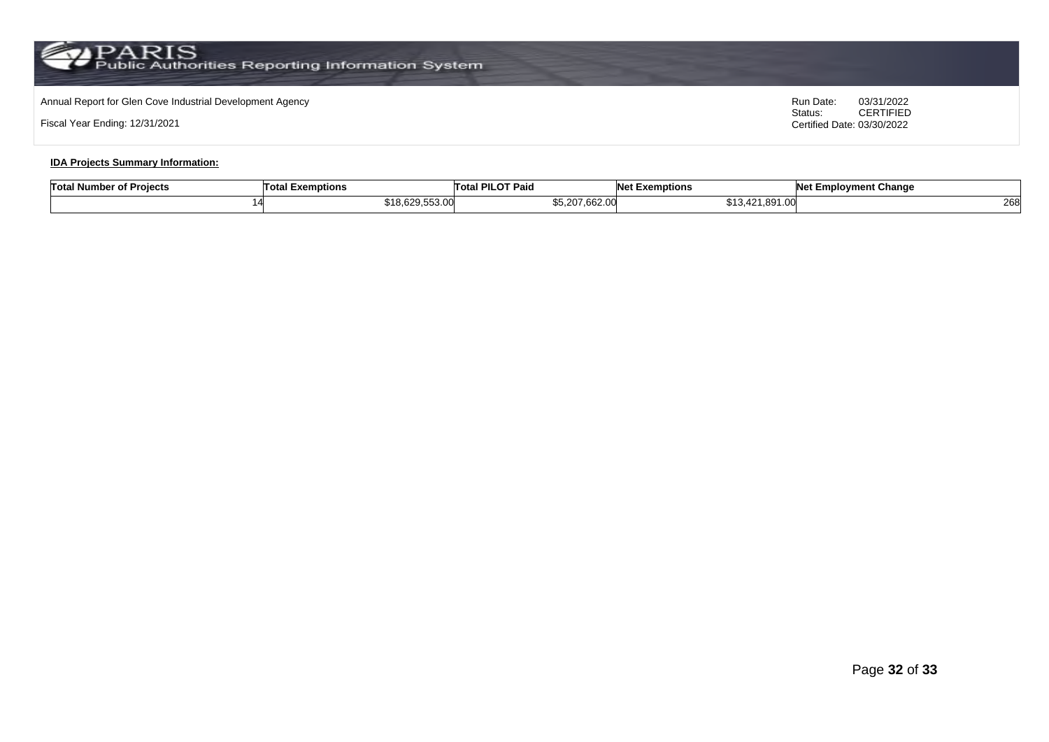# Annual Report for Glen Cove Industrial Development Agency<br>
Status: CERTIFIED

Fiscal Year Ending: 12/31/2021

CERTIFIED Certified Date: 03/30/2022

### **IDA Projects Summary Information:**

| <b>Total Number of Projects</b> | Tota<br>Exemptions            | <b>I PILOT Paio</b><br>⊺otal | <b>NA</b><br>et Exemptions           | <b>Net Employment Change</b> |
|---------------------------------|-------------------------------|------------------------------|--------------------------------------|------------------------------|
| ıд                              | 0.4000000000<br>18,629,553.00 | \$5,207,662.00               | 1.001N<br>$^{\sim}$<br>13.421.891.00 | วคร<br>∠∪                    |